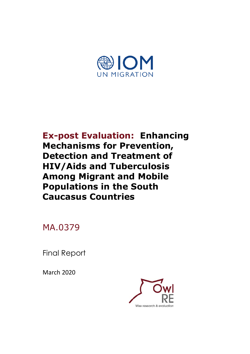

**Ex-post Evaluation: Enhancing Mechanisms for Prevention, Detection and Treatment of HIV/Aids and Tuberculosis Among Migrant and Mobile Populations in the South Caucasus Countries**

MA.0379

Final Report

March 2020

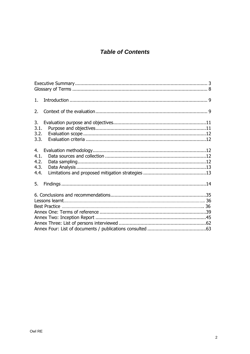# **Table of Contents**

| 1 <sup>1</sup>                     |  |  |
|------------------------------------|--|--|
| 2.                                 |  |  |
| 3.<br>3.1.<br>3.2.<br>3.3.         |  |  |
| 4.<br>4.1.<br>4.2.<br>4.3.<br>4.4. |  |  |
| 5.                                 |  |  |
|                                    |  |  |
|                                    |  |  |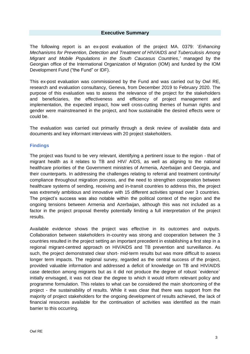# **Executive Summary**

<span id="page-2-0"></span>The following report is an ex-post evaluation of the project MA. 0379: '*Enhancing Mechanisms for Prevention, Detection and Treatment of HIV/AIDS and Tuberculosis Among Migrant and Mobile Populations in the South Caucasus Countries*,*'* managed by the Georgian office of the International Organization of Migration (IOM) and funded by the IOM Development Fund ("the Fund" or IDF).

This ex-post evaluation was commissioned by the Fund and was carried out by Owl RE, research and evaluation consultancy, Geneva, from December 2019 to February 2020. The purpose of this evaluation was to assess the relevance of the project for the stakeholders and beneficiaries, the effectiveness and efficiency of project management and implementation, the expected impact, how well cross-cutting themes of human rights and gender were mainstreamed in the project, and how sustainable the desired effects were or could be.

The evaluation was carried out primarily through a desk review of available data and documents and key informant interviews with 20 project stakeholders.

#### **Findings**

The project was found to be very relevant, identifying a pertinent issue to the region - that of migrant health as it relates to TB and HIV/ AIDS, as well as aligning to the national healthcare priorities of the Government ministries of Armenia, Azerbaijan and Georgia, and their counterparts. In addressing the challenges relating to referral and treatment continuity/ compliance throughout migration process, and the need to strengthen cooperation between healthcare systems of sending, receiving and in-transit countries to address this, the project was extremely ambitious and innovative with 15 different activities spread over 3 countries. The project's success was also notable within the political context of the region and the ongoing tensions between Armenia and Azerbaijan, although this was not included as a factor in the project proposal thereby potentially limiting a full interpretation of the project results.

Available evidence shows the project was effective in its outcomes and outputs. Collaboration between stakeholders in-country was strong and cooperation between the 3 countries resulted in the project setting an important precedent in establishing a first step in a regional migrant-centred approach on HIV/AIDS and TB prevention and surveillance. As such, the project demonstrated clear short- mid-term results but was more difficult to assess longer term impacts. The regional survey, regarded as the central success of the project, provided valuable information and addressed a deficit of knowledge on TB and HIV/AIDS case detection among migrants but as it did not produce the degree of robust `evidence` initially envisaged, it was not clear the degree to which it would inform relevant policy and programme formulation. This relates to what can be considered the main shortcoming of the project - the sustainability of results. While it was clear that there was support from the majority of project stakeholders for the ongoing development of results achieved, the lack of financial resources available for the continuation of activities was identified as the main barrier to this occurring.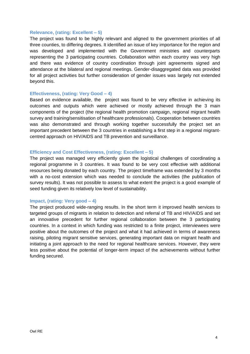#### **Relevance, (rating: Excellent – 5)**

The project was found to be highly relevant and aligned to the government priorities of all three counties, to differing degrees. It identified an issue of key importance for the region and was developed and implemented with the Government ministries and counterparts representing the 3 participating countries. Collaboration within each country was very high and there was evidence of country coordination through joint agreements signed and attendance at the bilateral and regional meetings. Gender-disaggregated data was provided for all project activities but further consideration of gender issues was largely not extended beyond this.

#### **Effectiveness, (rating: Very Good – 4)**

Based on evidence available, the project was found to be very effective in achieving its outcomes and outputs which were achieved or mostly achieved through the 3 main components of the project (the regional health promotion campaign, regional migrant health survey and training/sensitisation of healthcare professionals). Cooperation between countries was also demonstrated and through working together successfully the project set an important precedent between the 3 countries in establishing a first step in a regional migrantcentred approach on HIV/AIDS and TB prevention and surveillance.

#### **Efficiency and Cost Effectiveness, (rating: Excellent – 5)**

The project was managed very efficiently given the logistical challenges of coordinating a regional programme in 3 countries. It was found to be very cost effective with additional resources being donated by each country. The project timeframe was extended by 3 months with a no-cost extension which was needed to conclude the activities (the publication of survey results). It was not possible to assess to what extent the project is a good example of seed funding given its relatively low level of sustainability.

#### **Impact, (rating: Very good – 4)**

The project produced wide-ranging results. In the short term it improved health services to targeted groups of migrants in relation to detection and referral of TB and HIV/AIDS and set an innovative precedent for further regional collaboration between the 3 participating countries. In a context in which funding was restricted to a finite project, interviewees were positive about the outcomes of the project and what it had achieved in terms of awareness raising, piloting migrant sensitive services, generating important data on migrant health and initiating a joint approach to the need for regional healthcare services. However, they were less positive about the potential of longer-term impact of the achievements without further funding secured.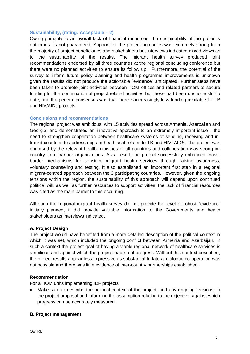#### **Sustainability, (rating: Acceptable – 2)**

Owing primarily to an overall lack of financial resources, the sustainability of the project's outcomes is not guaranteed. Support for the project outcomes was extremely strong from the majority of project beneficiaries and stakeholders but interviews indicated mixed views as to the sustainability of the results. The migrant health survey produced joint recommendations endorsed by all three countries at the regional concluding conference but there were no planned activities to ensure its follow up. Furthermore, the potential of the survey to inform future policy planning and health programme improvements is unknown given the results did not produce the actionable `evidence` anticipated. Further steps have been taken to promote joint activities between IOM offices and related partners to secure funding for the continuation of project related activities but these had been unsuccessful to date, and the general consensus was that there is increasingly less funding available for TB and HIV/AIDs projects.

#### **Conclusions and recommendations**

The regional project was ambitious, with 15 activities spread across Armenia, Azerbaijan and Georgia, and demonstrated an innovative approach to an extremely important issue - the need to strengthen cooperation between healthcare systems of sending, receiving and intransit countries to address migrant heath as it relates to TB and HIV/ AIDS. The project was endorsed by the relevant health ministries of all countries and collaboration was strong incountry from partner organizations. As a result, the project successfully enhanced crossborder mechanisms for sensitive migrant health services through raising awareness, voluntary counseling and testing. It also established an important first step in a regional migrant-centred approach between the 3 participating countries. However, given the ongoing tensions within the region, the sustainability of this approach will depend upon continued political will, as well as further resources to support activities; the lack of financial resources was cited as the main barrier to this occurring.

Although the regional migrant health survey did not provide the level of robust `evidence` initially planned, it did provide valuable information to the Governments and health stakeholders as interviews indicated,

#### **A. Project Design**

The project would have benefited from a more detailed description of the political context in which it was set, which included the ongoing conflict between Armenia and Azerbaijan. In such a context the project goal of having a viable regional network of healthcare services is ambitious and against which the project made real progress. Without this context described, the project results appear less impressive as substantial tri-lateral dialogue co-operation was not possible and there was little evidence of inter-country partnerships established.

#### **Recommendation**

For all IOM units implementing IDF projects:

Make sure to describe the political context of the project, and any ongoing tensions, in the project proposal and informing the assumption relating to the objective, against which progress can be accurately measured.

#### **B. Project management**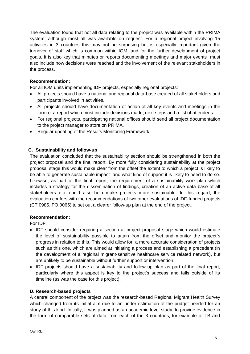The evaluation found that not all data relating to the project was available within the PRIMA system, although most all was available on request. For a regional project involving 15 activities in 3 countries this may not be surprising but is especially important given the turnover of staff which is common within IOM, and for the further development of project goals. It is also key that minutes or reports documenting meetings and major events must also include how decisions were reached and the involvement of the relevant stakeholders in the process.

# **Recommendation:**

For all IOM units implementing IDF projects, especially regional projects:

- All projects should have a national and regional data-base created of all stakeholders and participants involved in activities.
- All projects should have documentation of action of all key events and meetings in the form of a report which must include decisions made, next steps and a list of attendees.
- For regional projects, participating national offices should send all project documentation to the project manager to store on PRIMA.
- Regular updating of the Results Monitoring Framework.

# **C. Sustainability and follow-up**

The evaluation concluded that the sustainability section should be strengthened in both the project proposal and the final report. By more fully considering sustainability at the project proposal stage this would make clear from the offset the extent to which a project is likely to be able to generate sustainable impact and what kind of support it is likely to need to do so. Likewise, as part of the final report, the requirement of a sustainability work-plan which includes a strategy for the dissemination of findings, creation of an active data base of all stakeholders etc. could also help make projects more sustainable. In this regard, the evaluation confers with the recommendations of two other evaluations of IDF-funded projects (CT.0985, PO.0065) to set out a clearer follow-up plan at the end of the project.

#### **Recommendation:**

For IDF:

- IDF should consider requiring a section at project proposal stage which would estimate the level of sustainability possible to attain from the offset and monitor the project`s progress in relation to this. This would allow for a more accurate consideration of projects such as this one, which are aimed at initiating a process and establishing a precedent (in the development of a regional migrant-sensitive healthcare service related network), but are unlikely to be sustainable without further support or intervention.
- IDF projects should have a sustainability and follow-up plan as part of the final report, particularly where this aspect is key to the project's success and falls outside of its timeline (as was the case for this project).

# **D. Research-based projects**

A central component of the project was the research-based Regional Migrant Health Survey which changed from its initial aim due to an under-estimation of the budget needed for an study of this kind. Initially, it was planned as an academic-level study, to provide evidence in the form of comparable sets of data from each of the 3 countries, for example of TB and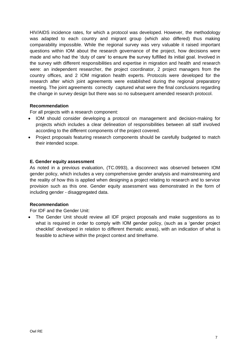HIV/AIDS incidence rates, for which a protocol was developed. However, the methodology was adapted to each country and migrant group (which also differed) thus making comparability impossible. While the regional survey was very valuable it raised important questions within IOM about the research governance of the project, how decisions were made and who had the 'duty of care' to ensure the survey fulfilled its initial goal. Involved in the survey with different responsibilities and expertise in migration and health and research were: an independent researcher, the project coordinator, 2 project managers from the country offices, and 2 IOM migration health experts. Protocols were developed for the research after which joint agreements were established during the regional preparatory meeting. The joint agreements correctly captured what were the final conclusions regarding the change in survey design but there was so no subsequent amended research protocol.

# **Recommendation**

For all projects with a research component:

- IOM should consider developing a protocol on management and decision-making for projects which includes a clear delineation of responsibilities between all staff involved according to the different components of the project covered.
- Project proposals featuring research components should be carefully budgeted to match their intended scope.

#### **E. Gender equity assessment**

As noted in a previous evaluation, (TC.0993), a disconnect was observed between IOM gender policy, which includes a very comprehensive gender analysis and mainstreaming and the reality of how this is applied when designing a project relating to research and to service provision such as this one. Gender equity assessment was demonstrated in the form of including gender - disaggregated data.

#### **Recommendation**

For IDF and the Gender Unit:

• The Gender Unit should review all IDF project proposals and make suggestions as to what is required in order to comply with IOM gender policy, (such as a 'gender project checklist' developed in relation to different thematic areas), with an indication of what is feasible to achieve within the project context and timeframe.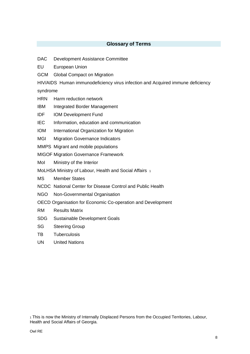# **Glossary of Terms**

- <span id="page-7-0"></span>DAC Development Assistance Committee
- EU European Union
- GCM Global Compact on Migration

HIV/AIDS Human immunodeficiency virus infection and Acquired immune deficiency

syndrome

HRN Harm reduction network

- IBM Integrated Border Management
- IDF IOM Development Fund
- IEC Information, education and communication
- IOM International Organization for Migration
- MGI Migration Governance Indicators
- MMPS Migrant and mobile populations

MIGOF Migration Governance Framework

MoI Ministry of the Interior

MoLHSA Ministry of Labour, Health and Social Affairs 1

MS Member States

- NCDC National Center for Disease Control and Public Health
- NGO Non-Governmental Organisation
- OECD Organisation for Economic Co-operation and Development
- RM Results Matrix
- SDG Sustainable Development Goals
- SG Steering Group
- TB Tuberculosis
- UN United Nations

<sup>1</sup> This is now the Ministry of Internally Displaced Persons from the Occupied Territories, Labour, Health and Social Affairs of Georgia.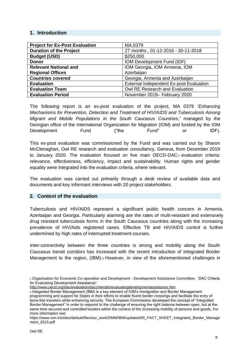# <span id="page-8-0"></span>**1. Introduction**

| <b>Project for Ex-Post Evaluation</b> | MA.0379                                 |
|---------------------------------------|-----------------------------------------|
| <b>Duration of the Project</b>        | 27 months, 01-12-2016 - 30-11-2018      |
| <b>Budget (USD)</b>                   | \$250,000                               |
| <b>Donor</b>                          | IOM Development Fund (IDF)              |
| <b>Relevant National and</b>          | IOM Georgia, IOM Armenia, IOM           |
| <b>Regional Offices</b>               | Azerbaijan                              |
| <b>Countries covered</b>              | Georgia, Armenia and Azerbaijan         |
| <b>Evaluation</b>                     | External Independent Ex-post Evaluation |
| <b>Evaluation Team</b>                | Owl RE Research and Evaluation          |
| <b>Evaluation Period</b>              | November 2019- February 2020            |

The following report is an ex-post evaluation of the project, MA 0379 '*Enhancing Mechanisms for Prevention, Detection and Treatment of HIV/AIDS and Tuberculosis Among Migrant and Mobile Populations in the South Caucasus Countries*,*'* managed by the Georgian office of the International Organization for Migration (IOM) and funded by the IOM Development Fund ("the Fund" or IDF).

This ex-post evaluation was commissioned by the Fund and was carried out by Sharon McClenaghan, Owl RE research and evaluation consultancy, Geneva, from December 2019 to January 2020. The evaluation focused on five main  $OECD-DAC_2$  evaluation criteria: relevance, effectiveness, efficiency, impact and sustainability. Human rights and gender equality were integrated into the evaluation criteria, where relevant.

The evaluation was carried out primarily through a desk review of available data and documents and key informant interviews with 20 project stakeholders.

#### <span id="page-8-1"></span>**2. Context of the evaluation**

Tuberculosis and HIV/AIDS represent a significant public health concern in Armenia, Azerbaijan and Georgia. Particularly alarming are the rates of multi-resistant and extensively drug resistant tuberculosis forms in the South Caucasus countries along with the increasing prevalence of HIV/Aids registered cases. Effective TB and HIV/AIDS control is further undermined by high rates of interrupted treatment courses.

Inter-connectivity between the three countries is strong and mobility along the South Caucasus transit corridors has increased with the recent introduction of Integrated Border Management to the region, (IBM).<sup>3</sup> However, in view of the aforementioned challenges in

<sup>2</sup> Organisation for Economic Co-operation and Development - Development Assistance Committee; 'DAC Criteria for Evaluating Development Assistance':

<http://www.oecd.org/dac/evaluation/daccriteriaforevaluatingdevelopmentassistance.htm>

<sup>3</sup> Integrated Border Management (IBM) is a key element of IOM's Immigration and Border Management programming and support for States in their efforts to enable fluent border crossings and facilitate the entry of bona fide travelers while enhancing security. The European Commission developed the concept of "Integrated Border Management" in order to respond to the challenge of ensuring the right balance between open, but at the same time secured and controlled borders within the context of the increasing mobility of persons and goods. For more information see:

[https://www.iom.int/sites/default/files/our\\_work/DMM/IBM/updated/05\\_FACT\\_SHEET\\_Integrated\\_Border\\_Manage](https://www.iom.int/sites/default/files/our_work/DMM/IBM/updated/05_FACT_SHEET_Integrated_Border_Management_2015.pdf) [ment\\_2015.pdf](https://www.iom.int/sites/default/files/our_work/DMM/IBM/updated/05_FACT_SHEET_Integrated_Border_Management_2015.pdf)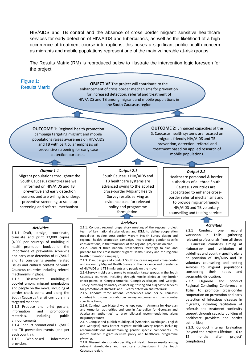HIV/AIDS and TB control and the absence of cross border migrant sensitive healthcare services for early detection of HIV/AIDS and tuberculosis, as well as the likelihood of a high occurrence of treatment course interruptions, this poses a significant public health concern as migrants and mobile populations represent one of the main vulnerable at-risk groups.

The Results Matrix (RM) is reproduced below to illustrate the intervention logic foreseen for the project.

# Figure 1:

Results Matrix

**OBJECTIVE** The project will contribute to the enhancement of cross border mechanisms for prevention for increased detection, referral and treatment of HIV/AIDS and TB among migrant and mobile populations in the South Caucasus region

**OUTCOME 1:** Regional health promotion campaign targeting migrant and mobile populations raises awareness on HIV/AIDS and TB with particular emphasis on preventive screening for early case detection purposes.

#### *Output 1.1*

Migrant populations throughout the South Caucasus countries are well informed on HIV/AIDS and TB preventive and early detection measures and are willing to undergo preventive screening to scale up screening and referral mechanism.

#### *Output 2.1*

South Caucasus HIV/AIDS and TB healthcare systems are advanced owing to the applied cross-border Migrant Health Survey results serving as evidence base for relevant policy and programme formulation.

#### *Activities*

2.1.1. Conduct regional preparatory meeting of the regional project team of key national stakeholders and IOM, to define cooperation modalities, outline cross-border Migrant Health Survey design and regional health promotion campaign, incorporating gender specific considerations, in the framework of the regional project action plan; 2.1.2. Conduct three national stakeholders' meetings to plan and prepare for the cross-border Migrant Health Survey and the regional

health promotion campaign; 2.1.3. Plan, design and conduct South Caucasus regional cross-border and in-country Migrant Health Survey on the incidence and prevalence of HIV/AIDS and TB in migrants and people on the move.

2.1.4.Survey mobile and prone to migration target groups in the South Caucasus countries, including through mobile clinics at key border check-points at Georgia-Armenia, Georgia-Azerbaijan and Georgia-Turkey providing voluntary counselling, testing and diagnostic services for promotion of HIV/AIDS and TB early detection and referrals;

2.1.5. Conduct three national conferences (one per S. Caucasus country) to discuss cross-border survey outcomes and plan country specific actions;

2.1.6. Conduct two bilateral workshops (one in Armenia for Georgian and Armenian authorities and one in Azerbaijan for Georgian and Azerbaijani authorities) to draw bilateral recommendations along migratory routes;

2.1.7. Compile and publish multilingual (Armenian, Azerbaijani, English and Georgian) cross-border Migrant Health Survey report, including recommendations mainstreaming gender specific components to inform further migrant-inclusive policy and healthcare programme planning;

2.1.8. Disseminate cross-border Migrant Health Survey results among relevant stakeholders and healthcare professionals in the South Caucasus region.

**OUTCOME 2:** Enhanced capacities of the S. Caucasus health systems are focused on migrant-friendly HIV/AIDS and TB prevention, detection, referral and treatment based on applied research of mobile populations.

#### *Output 2.2*

Healthcare personnel & border authorities of all three South Caucasus countries are capacitated to enhance crossborder referral mechanisms and to provide migrant-friendly HIV/AIDS and TB voluntary counselling and testing services.

#### *Activities*

2.2.1 Conduct one regional workshop in Tbilisi gathering relevant professionals from all three S. Caucasus countries aiming at elaboration and validation of guidelines and country specific plans on provision of HIV/AIDS and TB voluntary counselling and testing services to migrant populations considering their needs and geographic dislocation;

2.2.2. Organize and conduct Regional Concluding Conference in Tbilisi to promote cross-border cooperation on prevention and early detection of infectious diseases in migrants, including facilitation of referrals and treatment continuity support through capacity building of healthcare providers and border authorities;

after 2.2.3. Conduct Internal Evaluation (beyond the project's lifetime – 6 to 12 months after project' completion.)

#### *Activities*

1.1.1 Draft, design, coordinate, translate and print 12,000 copies (4,000 per country) of multilingual health promotion booklet on the importance of preventive screening and early case detection of HIV/AIDS and TB considering gender related issues and cultural context of South Caucasus countries including referral mechanisms in place;

1.1.2 Disseminate multilingual booklet among migrant populations and people on the move, including at border check points and along the South Caucasus transit corridors in a targeted manner;

1.1.3 Produce and print posters, information and promotional materials, including public announcements;

and TB prevention events (one per 1.1.4 Conduct promotional HIV/AIDS each country);

1.1.5 Web-based information provision.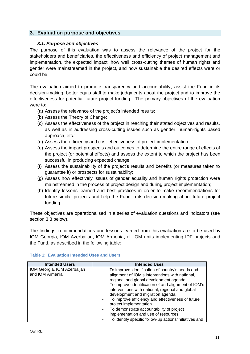# <span id="page-10-1"></span><span id="page-10-0"></span>**3. Evaluation purpose and objectives**

## *3.1. Purpose and objectives*

The purpose of this evaluation was to assess the relevance of the project for the stakeholders and beneficiaries, the effectiveness and efficiency of project management and implementation, the expected impact, how well cross-cutting themes of human rights and gender were mainstreamed in the project, and how sustainable the desired effects were or could be.

The evaluation aimed to promote transparency and accountability, assist the Fund in its decision-making, better equip staff to make judgments about the project and to improve the effectiveness for potential future project funding. The primary objectives of the evaluation were to:

- (a) Assess the relevance of the project's intended results;
- (b) Assess the Theory of Change:
- (c) Assess the effectiveness of the project in reaching their stated objectives and results, as well as in addressing cross-cutting issues such as gender, human-rights based approach, etc.;
- (d) Assess the efficiency and cost-effectiveness of project implementation;
- (e) Assess the impact prospects and outcomes to determine the entire range of effects of the project (or potential effects) and assess the extent to which the project has been successful in producing expected change;
- (f) Assess the sustainability of the project's results and benefits (or measures taken to guarantee it) or prospects for sustainability;
- (g) Assess how effectively issues of gender equality and human rights protection were mainstreamed in the process of project design and during project implementation;
- (h) Identify lessons learned and best practices in order to make recommendations for future similar projects and help the Fund in its decision-making about future project funding.

These objectives are operationalised in a series of evaluation questions and indicators (see section 3.3 below).

The findings, recommendations and lessons learned from this evaluation are to be used by IOM Georgia, IOM Azerbaijan, IOM Armenia, all IOM units implementing IDF projects and the Fund, as described in the following table:

| <b>Intended Users</b>                          | <b>Intended Uses</b>                                                                                                                                                                                                                                                                                                                                                           |
|------------------------------------------------|--------------------------------------------------------------------------------------------------------------------------------------------------------------------------------------------------------------------------------------------------------------------------------------------------------------------------------------------------------------------------------|
| IOM Georgia, IOM Azerbaijan<br>and IOM Armenia | To improve identification of country's needs and<br>alignment of IOM's interventions with national,<br>regional and global development agenda;<br>To improve identification of and alignment of IOM's<br>interventions with national, regional and global<br>development and migration agenda.<br>To improve efficiency and effectiveness of future<br>project implementation. |
|                                                | To demonstrate accountability of project<br>implementation and use of resources.<br>To identify specific follow-up actions/initiatives and                                                                                                                                                                                                                                     |

#### **Table 1: Evaluation Intended Uses and Users**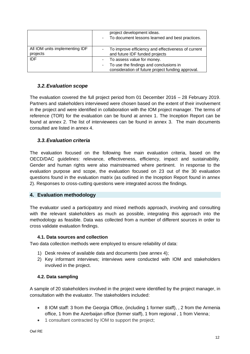|                                            | project development ideas.<br>To document lessons learned and best practices.<br>$\overline{\phantom{a}}$                                             |
|--------------------------------------------|-------------------------------------------------------------------------------------------------------------------------------------------------------|
| All IOM units implementing IDF<br>projects | To improve efficiency and effectiveness of current<br>$\overline{\phantom{a}}$<br>and future IDF funded projects                                      |
| <b>IDF</b>                                 | To assess value for money.<br>To use the findings and conclusions in<br>$\overline{\phantom{a}}$<br>consideration of future project funding approval. |

# <span id="page-11-0"></span>*3.2.Evaluation scope*

The evaluation covered the full project period from 01 December 2016 – 28 February 2019. Partners and stakeholders interviewed were chosen based on the extent of their involvement in the project and were identified in collaboration with the IOM project manager. The terms of reference (TOR) for the evaluation can be found at annex 1. The Inception Report can be found at annex 2. The list of interviewees can be found in annex 3. The main documents consulted are listed in annex 4.

# <span id="page-11-1"></span>*3.3.Evaluation criteria*

The evaluation focused on the following five main evaluation criteria, based on the OECD/DAC guidelines: relevance, effectiveness, efficiency, impact and sustainability. Gender and human rights were also mainstreamed where pertinent. In response to the evaluation purpose and scope, the evaluation focused on 23 out of the 30 evaluation questions found in the evaluation matrix (as outlined in the Inception Report found in annex 2). Responses to cross-cutting questions were integrated across the findings.

# <span id="page-11-2"></span>**4. Evaluation methodology**

The evaluator used a participatory and mixed methods approach, involving and consulting with the relevant stakeholders as much as possible, integrating this approach into the methodology as feasible. Data was collected from a number of different sources in order to cross validate evaluation findings.

# **4.1. Data sources and collection**

<span id="page-11-3"></span>Two data collection methods were employed to ensure reliability of data:

- 1) Desk review of available data and documents (see annex 4);
- 2) Key informant interviews; interviews were conducted with IOM and stakeholders involved in the project.

# <span id="page-11-4"></span>**4.2. Data sampling**

A sample of 20 stakeholders involved in the project were identified by the project manager, in consultation with the evaluator. The stakeholders included:

- 8 IOM staff: 3 from the Georgia Office, (including 1 former staff), , 2 from the Armenia office, 1 from the Azerbaijan office (former staff), 1 from regional , 1 from Vienna;
- 1 consultant contracted by IOM to support the project;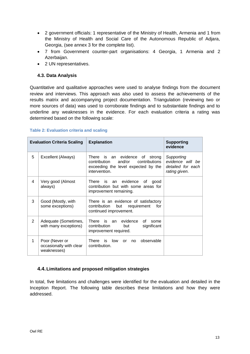- 2 government officials: 1 representative of the Ministry of Health, Armenia and 1 from the Ministry of Health and Social Care of the Autonomous Republic of Adjara, Georgia, (see annex 3 for the complete list).
- 7 from Government counter-part organisations: 4 Georgia, 1 Armenia and 2 Azerbaijan.
- 2 UN representatives.

# <span id="page-12-0"></span>**4.3. Data Analysis**

Quantitative and qualitative approaches were used to analyse findings from the document review and interviews. This approach was also used to assess the achievements of the results matrix and accompanying project documentation. Triangulation (reviewing two or more sources of data) was used to corroborate findings and to substantiate findings and to underline any weaknesses in the evidence. For each evaluation criteria a rating was determined based on the following scale:

#### **Table 2: Evaluation criteria and scaling**

|   | <b>Explanation</b><br><b>Evaluation Criteria Scaling</b> |                                                                                                                                      | <b>Supporting</b><br>evidence                                        |
|---|----------------------------------------------------------|--------------------------------------------------------------------------------------------------------------------------------------|----------------------------------------------------------------------|
| 5 | Excellent (Always)                                       | There<br>is an evidence of strong<br>contribution<br>and/or<br>contributions<br>exceeding the level expected by the<br>intervention. | Supporting<br>evidence will be<br>detailed for each<br>rating given. |
| 4 | Very good (Almost<br>always)                             | is<br>evidence<br>There<br>an<br>0f<br>good<br>contribution but with some areas for<br>improvement remaining.                        |                                                                      |
| 3 | Good (Mostly, with<br>some exceptions)                   | There is an evidence of satisfactory<br>contribution<br>but<br>requirement<br>for<br>continued improvement.                          |                                                                      |
| 2 | Adequate (Sometimes,<br>with many exceptions)            | There is an<br>evidence<br>Ωf<br>some<br>contribution<br>significant<br>but<br>improvement required.                                 |                                                                      |
| 1 | Poor (Never or<br>occasionally with clear<br>weaknesses) | There is<br>low<br>observable<br>or<br>no.<br>contribution.                                                                          |                                                                      |

# <span id="page-12-1"></span>**4.4.Limitations and proposed mitigation strategies**

In total, five limitations and challenges were identified for the evaluation and detailed in the Inception Report. The following table describes these limitations and how they were addressed.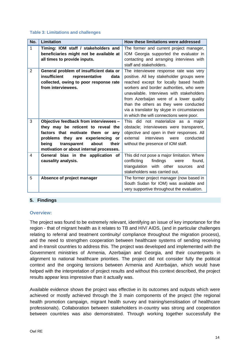#### **Table 3: Limitations and challenges**

| No.            | Limitation                                                                                                                                                                                                                                  | How these limitations were addressed                                                                                                                                                                                                                                                                                                                                                                   |
|----------------|---------------------------------------------------------------------------------------------------------------------------------------------------------------------------------------------------------------------------------------------|--------------------------------------------------------------------------------------------------------------------------------------------------------------------------------------------------------------------------------------------------------------------------------------------------------------------------------------------------------------------------------------------------------|
| 1              | Timing: IOM staff / stakeholders and<br>beneficiaries might not be available at<br>all times to provide inputs.                                                                                                                             | The former and current project manager,<br>IOM Georgia supported the evaluator in<br>contacting and arranging interviews with<br>staff and stakeholders.                                                                                                                                                                                                                                               |
| $\overline{2}$ | General problem of insufficient data or<br>insufficient<br>representative<br>data<br>collected, owing to poor response rate<br>from interviewees.                                                                                           | The interviewee response rate was very<br>positive. All key stakeholder groups were<br>reached except for locally based health<br>workers and border authorities, who were<br>unavailable. Interviews with stakeholders<br>from Azerbaijan were of a lower quality<br>than the others as they were conducted<br>via a translator by skype in circumstances<br>in which the wifi connections were poor. |
| 3              | Objective feedback from interviewees -<br>they may be reticent to reveal the<br>factors that motivate them or any<br>problems they are experiencing or<br>being<br>transparent<br>about<br>their<br>motivation or about internal processes. | This did not materialize as a major<br>obstacle; interviewees were transparent,<br>objective and open in their responses. All<br>interviews<br>external<br>conducted<br>were<br>without the presence of IOM staff.                                                                                                                                                                                     |
| 4              | General bias in the application of<br>causality analysis.                                                                                                                                                                                   | This did not pose a major limitation. Where<br>conflicting<br>findings<br>found,<br>were<br>triangulation with other sources<br>and<br>stakeholders was carried out.                                                                                                                                                                                                                                   |
| 5              | Absence of project manager                                                                                                                                                                                                                  | The former project manager (now based in<br>South Sudan for IOM) was available and<br>very supportive throughout the evaluation.                                                                                                                                                                                                                                                                       |

#### <span id="page-13-0"></span>**5. Findings**

#### **Overview:**

The project was found to be extremely relevant, identifying an issue of key importance for the region - that of migrant health as it relates to TB and HIV/ AIDS, (and in particular challenges relating to referral and treatment continuity/ compliance throughout the migration process), and the need to strengthen cooperation between healthcare systems of sending receiving and in-transit countries to address this. The project was developed and implemented with the Government ministries of Armenia, Azerbaijan and Georgia, and their counterparts in alignment to national healthcare priorities. The project did not consider fully the political context and the ongoing tensions between Armenia and Azerbaijan, which would have helped with the interpretation of project results and without this context described, the project results appear less impressive than it actually was.

Available evidence shows the project was effective in its outcomes and outputs which were achieved or mostly achieved through the 3 main components of the project (the regional health promotion campaign, migrant health survey and training/sensitisation of healthcare professionals). Collaboration between stakeholders in-country was strong and cooperation between countries was also demonstrated. Through working together successfully the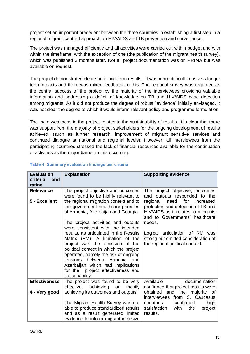project set an important precedent between the three countries in establishing a first step in a regional migrant-centred approach on HIV/AIDS and TB prevention and surveillance.

The project was managed efficiently and all activities were carried out within budget and with within the timeframe, with the exception of one (the publication of the migrant health survey), which was published 3 months later. Not all project documentation was on PRIMA but was available on request.

The project demonstrated clear short- mid-term results. It was more difficult to assess longer term impacts and there was mixed feedback on this. The regional survey was regarded as the central success of the project by the majority of the interviewees providing valuable information and addressing a deficit of knowledge on TB and HIV/AIDS case detection among migrants. As it did not produce the degree of robust `evidence` initially envisaged, it was not clear the degree to which it would inform relevant policy and programme formulation.

The main weakness in the project relates to the sustainability of results. It is clear that there was support from the majority of project stakeholders for the ongoing development of results achieved, (such as further research, improvement of migrant sensitive services and continued dialogue at national and regional levels). However, all interviewees from the participating countries stressed the lack of financial resources available for the continuation of activities as the major barrier to this occurring.

| <b>Evaluation</b><br>criteria<br>and<br>rating | <b>Explanation</b>                                                                                                                                                                                                                                                                                                                                                   | <b>Supporting evidence</b>                                                                                                                                |
|------------------------------------------------|----------------------------------------------------------------------------------------------------------------------------------------------------------------------------------------------------------------------------------------------------------------------------------------------------------------------------------------------------------------------|-----------------------------------------------------------------------------------------------------------------------------------------------------------|
| <b>Relevance</b>                               | The project objective and outcomes<br>were found to be highly relevant to                                                                                                                                                                                                                                                                                            | The project objective, outcomes<br>and outputs responded to the                                                                                           |
| 5 - Excellent                                  | the regional migration context and to<br>the government healthcare priorities<br>of Armenia, Azerbaijan and Georgia.<br>The project activities and outputs                                                                                                                                                                                                           | need for<br>regional<br>increased<br>protection and detection of TB and<br>HIV/AIDS as it relates to migrants<br>and to Governments' healthcare<br>needs. |
|                                                | were consistent with the intended<br>results, as articulated in the Results<br>Matrix (RM). A limitation of the<br>project was the omission of the<br>political context in which the project<br>operated, namely the risk of ongoing<br>tensions between Armenia<br>and<br>Azerbaijan which had implications<br>for the project effectiveness and<br>sustainability. | Logical articulation of RM was<br>strong but omitted consideration of<br>the regional political context.                                                  |
| <b>Effectiveness</b>                           | The project was found to be very<br>effective, achieving<br>mostly<br>or                                                                                                                                                                                                                                                                                             | Available<br>documentation<br>confirmed that project results were                                                                                         |
| 4 - Very good                                  | achieving its outcomes and outputs.                                                                                                                                                                                                                                                                                                                                  | and the majority of<br>obtained<br>interviewees from S. Caucasus                                                                                          |
|                                                | The Migrant Health Survey was not<br>able to produce standardized results<br>and as a result generated limited<br>evidence to inform migrant-inclusive                                                                                                                                                                                                               | countries<br>confirmed<br>high<br>satisfaction<br>with<br>the<br>project<br>results.                                                                      |

# **Table 4: Summary evaluation findings per criteria**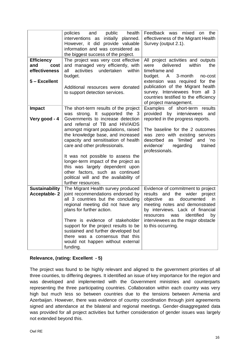|                                                   | policies<br>public<br>health<br>and<br>interventions as initially planned.<br>However, it did provide valuable<br>information and was considered as<br>the biggest success of the project.                       | Feedback was mixed<br>the<br>on<br>effectiveness of the Migrant Health<br>Survey (output 2.1).                                                                                                                                   |
|---------------------------------------------------|------------------------------------------------------------------------------------------------------------------------------------------------------------------------------------------------------------------|----------------------------------------------------------------------------------------------------------------------------------------------------------------------------------------------------------------------------------|
| <b>Efficiency</b><br>and<br>cost<br>effectiveness | The project was very cost effective<br>and managed very efficiently, with<br>activities<br>undertaken<br>all<br>within<br>budget.                                                                                | All project activities and outputs<br>within<br>delivered<br>the<br>were<br>timeframe and<br>3-month<br>budget.<br>A<br>no-cost                                                                                                  |
| 5 - Excellent                                     | Additional resources were donated<br>to support detection services.                                                                                                                                              | extension was required for the<br>publication of the Migrant health<br>survey. Interviewees from all 3<br>countries testified to the efficiency<br>of project management.                                                        |
| <b>Impact</b><br>Very good - 4                    | The short-term results of the project<br>was strong. It supported the 3<br>Governments to increase detection<br>and referral of TB and HIV/AIDS                                                                  | Examples of<br>short-term results<br>provided<br>by interviewees<br>and<br>reported in the progress reports.                                                                                                                     |
|                                                   | amongst migrant populations, raised<br>the knowledge base, and increased<br>capacity and sensitisation of health<br>care and other professionals.                                                                | The baseline for the 2 outcomes<br>was zero with existing services<br>'limited'<br>and 'no<br>described<br>as<br>evidence'<br>trained<br>regarding<br>professionals.                                                             |
|                                                   | It was not possible to assess the<br>longer-term impact of the project as<br>this was largely dependent upon<br>other factors, such as continued<br>political will and the availability of<br>further resources. |                                                                                                                                                                                                                                  |
| <b>Sustainability</b><br><b>Acceptable-2</b>      | The Migrant Health survey produced<br>joint recommendations endorsed by<br>all 3 countries but the concluding<br>regional meeting did not have any<br>plans for further action.                                  | Evidence of commitment to project<br>results and<br>the<br>wider<br>project<br>objective<br>documented<br>in<br>as<br>meeting notes and demonstrated<br>by interviews. Lack of financial<br>identified<br>resources<br>by<br>was |
|                                                   | There is evidence of stakeholder<br>support for the project results to be<br>sustained and further developed but<br>there was a consensus that this<br>would not happen without external<br>funding.             | interviewees as the major obstacle<br>to this occurring.                                                                                                                                                                         |

# **Relevance, (rating: Excellent - 5)**

The project was found to be highly relevant and aligned to the government priorities of all three counties, to differing degrees. It identified an issue of key importance for the region and was developed and implemented with the Government ministries and counterparts representing the three participating countries. Collaboration within each country was very high but much less so between countries due to the tensions between Armenia and Azerbaijan. However, there was evidence of country coordination through joint agreements signed and attendance at the bilateral and regional meetings. Gender-disaggregated data was provided for all project activities but further consideration of gender issues was largely not extended beyond this.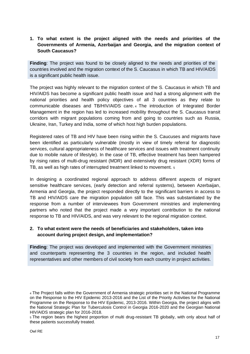# **1. To what extent is the project aligned with the needs and priorities of the Governments of Armenia, Azerbaijan and Georgia, and the migration context of South Caucasus?**

**Finding**: The project was found to be closely aligned to the needs and priorities of the countries involved and the migration context of the S. Caucasus in which TB and HIV/AIDS is a significant public health issue.

The project was highly relevant to the migration context of the S. Caucasus in which TB and HIV/AIDS has become a significant public health issue and had a strong alignment with the national priorities and health policy objectives of all 3 countries as they relate to communicable diseases and TB/HIV/AIDS care. <sup>4</sup> The introduction of Integrated Border Management in the region has led to increased mobility throughout the S. Caucasus transit corridors with migrant populations coming from and going to countries such as Russia, Ukraine, Iran, Turkey and India, some of which host high burden populations.

Registered rates of TB and HIV have been rising within the S. Caucuses and migrants have been identified as particularly vulnerable (mostly in view of timely referral for diagnostic services, cultural appropriateness of healthcare services and issues with treatment continuity due to mobile nature of lifestyle). In the case of TB, effective treatment has been hampered by rising rates of multi-drug resistant (MDR) and extensively drug resistant (XDR) forms of TB, as well as high rates of interrupted treatment linked to movement. <sup>5</sup>

In designing a coordinated regional approach to address different aspects of migrant sensitive healthcare services, (early detection and referral systems), between Azerbaijan, Armenia and Georgia, the project responded directly to the significant barriers in access to TB and HIV/AIDS care the migration population still face. This was substantiated by the response from a number of interviewees from Government ministries and implementing partners who noted that the project made a very important contribution to the national response to TB and HIV/AIDS, and was very relevant to the regional migration context.

# **2. To what extent were the needs of beneficiaries and stakeholders, taken into account during project design, and implementation?**

**Finding**: The project was developed and implemented with the Government ministries and counterparts representing the 3 countries in the region, and included health representatives and other members of civil society from each country in project activities.

<sup>4</sup> The Project falls within the Government of Armenia strategic priorities set in the National Programme on the Response to the HIV Epidemic 2013-2016 and the List of the Priority Activities for the National Programme on the Response to the HIV Epidemic, 2013-2016. Within Georgia, the project aligns with the National Strategic Plan for Tuberculosis Control in Georgia 2016-2020 and the Georgian National HIV/AIDS strategic plan for 2016-2018.

<sup>5</sup> The region bears the highest proportion of multi drug-resistant TB globally, with only about half of these patients successfully treated.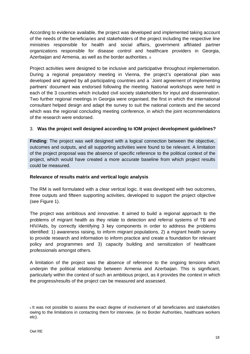According to evidence available, the project was developed and implemented taking account of the needs of the beneficiaries and stakeholders of the project including the respective line ministries responsible for health and social affairs, government affiliated partner organizations responsible for disease control and healthcare providers in Georgia, Azerbaijan and Armenia, as well as the border authorities. <sup>6</sup>

Project activities were designed to be inclusive and participative throughout implementation. During a regional preparatory meeting in Vienna, the project's operational plan was developed and agreed by all participating countries and a `Joint agreement of implementing partners' document was endorsed following the meeting. National workshops were held in each of the 3 countries which included civil society stakeholders for input and dissemination. Two further regional meetings in Georgia were organised, the first in which the international consultant helped design and adapt the survey to suit the national contexts and the second which was the regional concluding meeting conference, in which the joint recommendations of the research were endorsed.

# 3. **Was the project well designed according to IOM project development guidelines?**

**Finding**: The project was well designed with a logical connection between the objective, outcomes and outputs, and all supporting activities were found to be relevant. A limitation of the project proposal was the absence of specific reference to the political context of the project, which would have created a more accurate baseline from which project results could be measured.

#### **Relevance of results matrix and vertical logic analysis**

The RM is well formulated with a clear vertical logic. It was developed with two outcomes, three outputs and fifteen supporting activities, developed to support the project objective (see Figure 1).

The project was ambitious and innovative. It aimed to build a regional approach to the problems of migrant health as they relate to detection and referral systems of TB and HIV/Aids, by correctly identifying 3 key components in order to address the problems identified: 1) awareness raising, to inform migrant populations, 2) a migrant health survey to provide research and information to inform practice and create a foundation for relevant policy and programmes and 3) capacity building and sensitization of healthcare professionals amongst others.

A limitation of the project was the absence of reference to the ongoing tensions which underpin the political relationship between Armenia and Azerbaijan. This is significant, particularly within the context of such an ambitious project, as it provides the context in which the progress/results of the project can be measured and assessed.

<sup>6</sup> It was not possible to assess the exact degree of involvement of all beneficiaries and stakeholders owing to the limitations in contacting them for interview, (ie no Border Authorities, healthcare workers etc).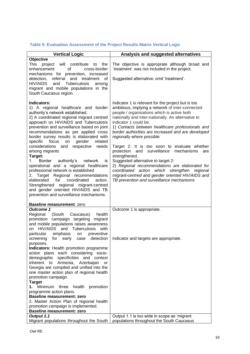# **Table 5: Evaluation Assessment of the Project Results Matrix Vertical Logic**

| <b>Vertical Logic</b>                                                                                                                                                                                                      | Analysis and suggested alternatives                                                                                                                                                                                                                                                      |
|----------------------------------------------------------------------------------------------------------------------------------------------------------------------------------------------------------------------------|------------------------------------------------------------------------------------------------------------------------------------------------------------------------------------------------------------------------------------------------------------------------------------------|
| <b>Objective</b>                                                                                                                                                                                                           |                                                                                                                                                                                                                                                                                          |
| This project will contribute to<br>the<br>enhancement<br>of<br>cross-border<br>mechanisms for prevention, increased                                                                                                        | The objective is approprate although broad and<br>`treatment` was not included in the project.                                                                                                                                                                                           |
| referral and treatment of<br>detection,                                                                                                                                                                                    | Suggested alternative: omit 'treatment'.                                                                                                                                                                                                                                                 |
| HIV/AIDS<br>and<br><b>Tuberculosis</b><br>among<br>migrant and mobile populations in the                                                                                                                                   |                                                                                                                                                                                                                                                                                          |
| South Caucasus region.                                                                                                                                                                                                     |                                                                                                                                                                                                                                                                                          |
| Indicators:<br>1) A regional healthcare and border<br>authority's network established.<br>2) A coordinated regional migrant centred<br>approach on HIV/AIDS and Tuberculosis<br>prevention and surveillance based on joint | Indicator 1 is relevant for the project but is too<br>ambitious, implying a network of inter-connected<br>people / organisations which is active both<br>nationally and inter-nationally. An alternative to<br>indicator 1 could be:<br>1) Contacts between healthcare professionals and |
| recommendations as per applied cross<br>border survey results is elaborated with                                                                                                                                           | border authorities are increased and are developed<br>regionally where possible.                                                                                                                                                                                                         |
| specific<br>focus<br>gender<br>related<br>on<br>considerations and respective needs<br>among migrants<br>Target:                                                                                                           | Target 2: It is too soon to evaluate whether<br>and<br>surveillance<br>mechanisms<br>protection<br>are<br>strengthened.                                                                                                                                                                  |
| Border authority's<br>1.<br>network<br>is<br>operational and a regional healthcare<br>professional network is established<br>2. Target Regional recommendations<br>for<br>coordinated<br>elaborated<br>action.             | Suggested alternative to target 2:<br>2) Regional recommendations are elaborated for<br>coordinated action which strengthen<br>regional<br>migrant-centred and gender oriented HIV/AIDS and<br>TB prevention and surveillance mechanisms                                                 |
| Strengthened regional migrant-centred<br>and gender oriented HIV/AIDS and TB                                                                                                                                               |                                                                                                                                                                                                                                                                                          |
| prevention and surveillance mechanisms.                                                                                                                                                                                    |                                                                                                                                                                                                                                                                                          |
| Baseline measurement: zero                                                                                                                                                                                                 |                                                                                                                                                                                                                                                                                          |
| <b>Outcome 1</b>                                                                                                                                                                                                           | Outcome 1 is appropriate.                                                                                                                                                                                                                                                                |
| Regional<br>health<br>(South Caucasus)<br>promotion campaign targeting migrant                                                                                                                                             |                                                                                                                                                                                                                                                                                          |
| and mobile populations raises awareness<br>on HIV/AIDS and Tuberculosis with                                                                                                                                               |                                                                                                                                                                                                                                                                                          |
| particular emphasis<br>preventive<br>on                                                                                                                                                                                    |                                                                                                                                                                                                                                                                                          |
| screening for early case detection<br>purposes.                                                                                                                                                                            | Indicator and targets are appropriate.                                                                                                                                                                                                                                                   |
| Indicators: Health promotion programme<br>action plans each considering socio-                                                                                                                                             |                                                                                                                                                                                                                                                                                          |
| demographic specificities and context                                                                                                                                                                                      |                                                                                                                                                                                                                                                                                          |
| inherent to Armenia,<br>Azerbaijan<br>or                                                                                                                                                                                   |                                                                                                                                                                                                                                                                                          |
| Georgia are compiled and unified into the<br>one master action plan of regional health                                                                                                                                     |                                                                                                                                                                                                                                                                                          |
| promotion campaign.                                                                                                                                                                                                        |                                                                                                                                                                                                                                                                                          |
| <b>Target</b>                                                                                                                                                                                                              |                                                                                                                                                                                                                                                                                          |
| 1. Minimum three health<br>promotion                                                                                                                                                                                       |                                                                                                                                                                                                                                                                                          |
| programme action plans.                                                                                                                                                                                                    |                                                                                                                                                                                                                                                                                          |
| <b>Baseline measurement: zero</b><br>2. Master Action Plan of regional health                                                                                                                                              |                                                                                                                                                                                                                                                                                          |
| promotion campaign is implemented.                                                                                                                                                                                         |                                                                                                                                                                                                                                                                                          |
| <b>Baseline measurement: zero</b>                                                                                                                                                                                          |                                                                                                                                                                                                                                                                                          |
| Output 1.1                                                                                                                                                                                                                 | Output 1.1 is too wide in scope as 'migrant                                                                                                                                                                                                                                              |
| Migrant populations throughout the South                                                                                                                                                                                   | populations throughout the South Caucasus                                                                                                                                                                                                                                                |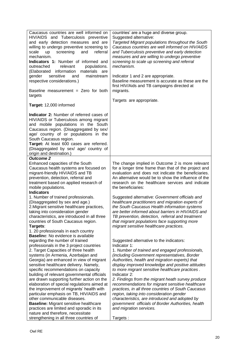| Caucasus countries are well informed on<br>HIV/AIDS and Tuberculosis preventive<br>and early detection measures and are<br>willing to undergo preventive screening to<br>screening<br>and<br>referral<br>scale<br>up<br>mechanism.<br>Indicators 1: Number of informed and<br>outreached<br>relevant<br>populations.<br>materials are<br>(Elaborated information<br>gender<br>sensitive<br>and<br>mainstream<br>respective considerations.)<br>Baseline measurement = Zero for both<br>targets                                                                                                                                                                                                                                       | countries' are a huge and diverse group.<br>Suggested alternative:<br>Targeted Migrant populations throughout the South<br>Caucasus countries are well informed on HIV/AIDS<br>and Tuberculosis preventive and early detection<br>measures and are willing to undergo preventive<br>screening to scale up screening and referral<br>mechanism.<br>Indicator 1 and 2 are appropriate.<br>Baseline measurement is accurate as these are the<br>first HIV/Aids and TB campaigns directed at<br>migrants.                                                                                                                                                                                  |
|--------------------------------------------------------------------------------------------------------------------------------------------------------------------------------------------------------------------------------------------------------------------------------------------------------------------------------------------------------------------------------------------------------------------------------------------------------------------------------------------------------------------------------------------------------------------------------------------------------------------------------------------------------------------------------------------------------------------------------------|----------------------------------------------------------------------------------------------------------------------------------------------------------------------------------------------------------------------------------------------------------------------------------------------------------------------------------------------------------------------------------------------------------------------------------------------------------------------------------------------------------------------------------------------------------------------------------------------------------------------------------------------------------------------------------------|
| Target: 12,000 informed                                                                                                                                                                                                                                                                                                                                                                                                                                                                                                                                                                                                                                                                                                              | Targets are appropriate.                                                                                                                                                                                                                                                                                                                                                                                                                                                                                                                                                                                                                                                               |
| <b>Indicator 2:</b> Number of referred cases of<br>HIV/AIDS or Tuberculosis among migrant<br>and mobile populations in the South<br>Caucasus region. (Disaggregated by sex/<br>age/ country of or populations in the<br>South Caucasus region.<br>Target: At least 600 cases are referred.<br>(Disaggregated by sex/ age/ country of<br>origin and destination.)                                                                                                                                                                                                                                                                                                                                                                     |                                                                                                                                                                                                                                                                                                                                                                                                                                                                                                                                                                                                                                                                                        |
| <b>Outcome 2</b><br>Enhanced capacities of the South<br>Caucasus health systems are focused on<br>migrant-friendly HIV/AIDS and TB<br>prevention, detection, referral and<br>treatment based on applied research of<br>mobile populations.<br><b>Indicators</b>                                                                                                                                                                                                                                                                                                                                                                                                                                                                      | The change implied in Outcome 2 is more relevant<br>for a longer time frame than that of the project and<br>evaluation and does not indicate the beneficiaries.<br>An alternative would be to show the influence of the<br>research on the healthcare services and indicate<br>the beneficiaries:                                                                                                                                                                                                                                                                                                                                                                                      |
| 1. Number of trained professionals.<br>(Disaggregated by sex and age.)<br>2. Migrant sensitive healthcare practices,<br>taking into consideration gender<br>characteristics, are introduced in all three<br>countries of South Caucasus region.<br>Targets:<br>1. 20 professionals in each country                                                                                                                                                                                                                                                                                                                                                                                                                                   | Suggested alternative: Government officials and<br>healthcare practitioners and migration experts of<br>the South Caucasus Health information systems<br>are better informed about barriers in HIV/AIDS and<br>TB prevention, detection, referral and treatment<br>that migrant populations face supporting more<br>migrant sensitive healthcare practices.                                                                                                                                                                                                                                                                                                                            |
| Baseline: No evidence is available<br>regarding the number of trained<br>professionals in the 3 project countries<br>2. Target Capacities of three health<br>systems (in Armenia, Azerbaijan and<br>Georgia) are enhanced in view of migrant<br>sensitive healthcare delivery. Namely,<br>specific recommendations on capacity<br>building of relevant governmental officials<br>are drawn supporting further action on the<br>elaboration of special regulations aimed at<br>the improvement of migrants' health with<br>particular emphasis on TB, HIV/AIDS and<br>other communicable diseases.<br><b>Baseline: Migrant sensitive healthcare</b><br>practices are limited and sporadic in its<br>nature and therefore, necessitate | Suggested alternative to the indicators:<br>Indicator 1:<br>1. Number of trained and engaged professionals,<br>(including Government representatives, Border<br>Authorities, health and migration experts) that<br>display improved knowledge and positive attitudes<br>to more migrant sensitive healthcare practices.<br>Indicator 2:<br>2. Findings from the migrant heath survey produce<br>recommendations for migrant sensitive healthcare<br>practices, in all three countries of South Caucasus<br>region, taking into consideration gender<br>characteristics, are introduced and adopted by<br>government officials of Border Authorities, health<br>and migration services. |
| strengthening in all three countries of                                                                                                                                                                                                                                                                                                                                                                                                                                                                                                                                                                                                                                                                                              | Targets :                                                                                                                                                                                                                                                                                                                                                                                                                                                                                                                                                                                                                                                                              |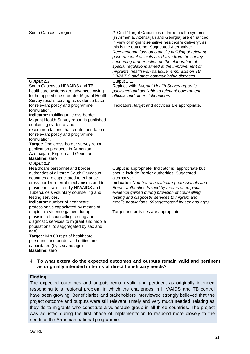| South Caucasus region.                                                                                                                                                                                                                                                                                         | 2. Omit 'Target Capacities of three health systems<br>(in Armenia, Azerbaijan and Georgia) are enhanced<br>in view of migrant sensitive healthcare delivery', as<br>this is the outcome. Suggested Alternative:<br>Recommendations on capacity building of relevant<br>governmental officials are drawn from the survey,<br>supporting further action on the elaboration of<br>special regulations aimed at the improvement of<br>migrants' health with particular emphasis on TB, |
|----------------------------------------------------------------------------------------------------------------------------------------------------------------------------------------------------------------------------------------------------------------------------------------------------------------|------------------------------------------------------------------------------------------------------------------------------------------------------------------------------------------------------------------------------------------------------------------------------------------------------------------------------------------------------------------------------------------------------------------------------------------------------------------------------------|
| Output 2.1                                                                                                                                                                                                                                                                                                     | HIV/AIDS and other communicable diseases.<br>Output 2.1.                                                                                                                                                                                                                                                                                                                                                                                                                           |
| South Caucasus HIV/AIDS and TB<br>healthcare systems are advanced owing<br>to the applied cross-border Migrant Health<br>Survey results serving as evidence base                                                                                                                                               | Replace with: Migrant Health Survey report is<br>published and available to relevant government<br>officials and other stakeholders.                                                                                                                                                                                                                                                                                                                                               |
| for relevant policy and programme<br>formulation.                                                                                                                                                                                                                                                              | Indicators, target and activities are appropriate.                                                                                                                                                                                                                                                                                                                                                                                                                                 |
| Indicator: multilingual cross-border<br>Migrant Health Survey report is published<br>containing evidence and<br>recommendations that create foundation<br>for relevant policy and programme<br>formulation.                                                                                                    |                                                                                                                                                                                                                                                                                                                                                                                                                                                                                    |
| Target: One cross-border survey report<br>publication produced in Armenian,<br>Azerbaijani, English and Georgian.<br><b>Baseline: zero</b>                                                                                                                                                                     |                                                                                                                                                                                                                                                                                                                                                                                                                                                                                    |
| Output 2.2<br>Healthcare personnel and border                                                                                                                                                                                                                                                                  | Output is appropriate. Indicator is appropriate but                                                                                                                                                                                                                                                                                                                                                                                                                                |
| authorities of all three South Caucasus<br>countries are capacitated to enhance<br>cross-border referral mechanisms and to<br>provide migrant-friendly HIV/AIDS and<br>Tuberculosis voluntary counselling and<br>testing services.<br>Indicator: number of healthcare<br>professionals capacitated by means of | should include Border authorities. Suggested<br>alternative:<br>Indicator: Number of healthcare professionals and<br>Border authorities trained by means of empirical<br>evidence gained during provision of counselling<br>testing and diagnostic services to migrant and<br>mobile populations (disaggregated by sex and age)                                                                                                                                                    |
| empirical evidence gained during<br>provision of counselling testing and<br>diagnostic services to migrant and mobile<br>populations (disaggregated by sex and                                                                                                                                                 | Target and activities are appropriate.                                                                                                                                                                                                                                                                                                                                                                                                                                             |
| age).<br>Target: Min 60 reps of healthcare<br>personnel and border authorities are                                                                                                                                                                                                                             |                                                                                                                                                                                                                                                                                                                                                                                                                                                                                    |
| capacitated (by sex and age).<br><b>Baseline: zero</b>                                                                                                                                                                                                                                                         |                                                                                                                                                                                                                                                                                                                                                                                                                                                                                    |

#### 4. **To what extent do the expected outcomes and outputs remain valid and pertinent as originally intended in terms of direct beneficiary needs**?

#### **Finding**:

The expected outcomes and outputs remain valid and pertinent as originally intended responding to a regional problem in which the challenges in HIV/AIDS and TB control have been growing. Beneficiaries and stakeholders interviewed strongly believed that the project outcome and outputs were still relevant, timely and very much needed, relating as they do to migrants who constitute a vulnerable group in all three countries. The project was adjusted during the first phase of implementation to respond more closely to the needs of the Armenian national programme.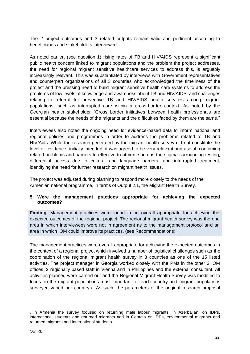The 2 project outcomes and 3 related outputs remain valid and pertinent according to beneficiaries and stakeholders interviewed.

As noted earlier, (see question 1) rising rates of TB and HIV/AIDS represent a significant public health concern linked to migrant populations and the problem the project addresses, the need for regional migrant sensitive healthcare services to address this, is arguably increasingly relevant. This was substantiated by interviews with Government representatives and counterpart organizations of all 3 countries who acknowledged the timeliness of the project and the pressing need to build migrant sensitive health care systems to address the problems of low levels of knowledge and awareness about TB and HIV/AIDS, and challenges relating to referral for preventive TB and HIV/AIDS health services among migrant populations, such as interrupted care within a cross-border context. As noted by the Georgian health stakeholder "Cross border initiatives between health professionals are essential because the needs of the migrants and the difficulties faced by them are the same."

Interviewees also noted the ongoing need for evidence-based data to inform national and regional policies and programmes in order to address the problems related to TB and HIV/Aids. While the research generated by the migrant health survey did not constitute the level of `evidence` initially intended, it was agreed to be very relevant and useful, confirming related problems and barriers to effective treatment such as the stigma surrounding testing, differential access due to cultural and language barriers, and interrupted treatment, identifying the need for further research on migrant health issues.

The project was adjusted during planning to respond more closely to the needs of the Armenian national programme, in terms of Output 2.1, the Migrant Health Survey.

# **5. Were the management practices appropriate for achieving the expected outcomes?**

**Finding**: Management practices were found to be overall appropriate for achieving the expected outcomes of the regional project. The regional migrant health survey was the one area in which interviewees were not in agreement as to the management protocol and an area in which IOM could improve its practices, (see Recommendations).

The management practices were overall appropriate for achieving the expected outcomes in the context of a regional project which involved a number of logistical challenges such as the coordination of the regional migrant health survey in 3 countries as one of the 15 listed activities. The project manager in Georgia worked closely with the PMs in the other 2 IOM offices, 2 regionally based staff in Vienna and in Philippines and the external consultant. All activities planned were carried out and the Regional Migrant Health Survey was modified to focus on the migrant populations most important for each country and migrant populations surveyed varied per country.<sub>7</sub> As such, the parameters of the original research proposal

<sup>7</sup> In Armenia the survey focused on returning male labour migrants, in Azerbaijan, on IDPs, international students and returned migrants and in Georgia on IDPs, environmental migrants and returned migrants and international students.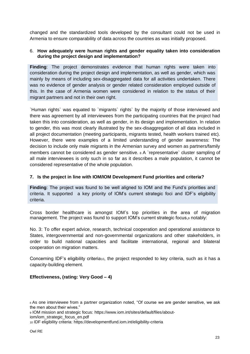changed and the standardized tools developed by the consultant could not be used in Armenia to ensure comparability of data across the countries as was initially proposed.

#### 6. **How adequately were human rights and gender equality taken into consideration during the project design and implementation?**

**Finding**: The project demonstrates evidence that human rights were taken into consideration during the project design and implementation, as well as gender, which was mainly by means of including sex-disaggregated data for all activities undertaken. There was no evidence of gender analysis or gender related consideration employed outside of this. In the case of Armenia women were considered in relation to the status of their migrant partners and not in their own right.

`Human rights` was equated to `migrants` rights` by the majority of those interviewed and there was agreement by all interviewees from the participating countries that the project had taken this into consideration, as well as gender, in its design and implementation. In relation to gender, this was most clearly illustrated by the sex-disaggregation of all data included in all project documentation (meeting participants, migrants tested, health workers trained etc). However, there were examples of a limited understanding of gender awareness: The decision to include only male migrants in the Armenian survey and women as partners/family members cannot be considered as gender sensitive. <sup>8</sup> A `representative` cluster sampling of all male interviewees is only such in so far as it describes a male population, it cannot be considered representative of the whole population.

# **7. Is the project in line with IOM/IOM Development Fund priorities and criteria?**

**Finding**: The project was found to be well aligned to IOM and the Fund's priorities and criteria. It supported a key priority of IOM's current strategic foci and IDF's eligibility criteria.

Cross border healthcare is amongst IOM's top priorities in the area of migration management. The project was found to support IOM's current strategic focus, a notably:

No. 3: To offer expert advice, research, technical cooperation and operational assistance to States, intergovernmental and non-governmental organizations and other stakeholders, in order to build national capacities and facilitate international, regional and bilateral cooperation on migration matters.

Concerning IDF's eligibility criteria<sub>10</sub>, the project responded to key criteria, such as it has a capacity-building element.

# **Effectiveness, (rating: Very Good – 4)**

<sup>8</sup> As one interviewee from a partner organization noted, "Of course we are gender sensitive, we ask the men about their wives."

<sup>9</sup> IOM mission and strategic focus: [https://www.iom.int/sites/default/files/about-](https://www.iom.int/sites/default/files/about-iom/iom_strategic_focus_en.pdf)

[iom/iom\\_strategic\\_focus\\_en.pdf](https://www.iom.int/sites/default/files/about-iom/iom_strategic_focus_en.pdf)

<sup>10</sup> IDF eligibility criteria:<https://developmentfund.iom.int/eligibility-criteria>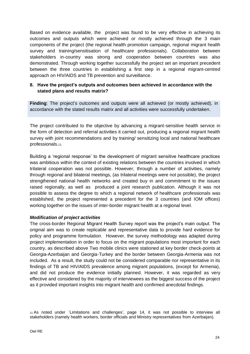Based on evidence available, the project was found to be very effective in achieving its outcomes and outputs which were achieved or mostly achieved through the 3 main components of the project (the regional health promotion campaign, regional migrant health survey and training/sensitisation of healthcare professionals). Collaboration between stakeholders in-country was strong and cooperation between countries was also demonstrated. Through working together successfully the project set an important precedent between the three countries in establishing a first step in a regional migrant-centred approach on HIV/AIDS and TB prevention and surveillance.

# **8. Have the project's outputs and outcomes been achieved in accordance with the stated plans and results matrix?**

**Finding**: The project's outcomes and outputs were all achieved (or mostly achieved), in accordance with the stated results matrix and all activities were successfully undertaken.

The project contributed to the objective by advancing a migrant-sensitive health service in the form of detection and referral activities it carried out, producing a regional migrant health survey with joint recommendations and by training/ sensitizing local and national healthcare professionals.<sup>11</sup>

Building a 'regional response' to the development of migrant sensitive healthcare practices was ambitious within the context of existing relations between the countries involved in which trilateral cooperation was not possible. However, through a number of activities, namely through regional and bilateral meetings, (as trilateral meetings were not possible), the project strengthened national health networks and created buy in and commitment to the issues raised regionally, as well as produced a joint research publication. Although it was not possible to assess the degree to which a regional network of healthcare professionals was established, the project represented a precedent for the 3 countries (and IOM offices) working together on the issues of inter-border migrant health at a regional level.

#### *Modification of project activities*

The cross-border Regional Migrant Health Survey report was the project's main output. The original aim was to create replicable and representative data to provide hard evidence for policy and programme formulation. However, the survey methodology was adapted during project implementation in order to focus on the migrant populations most important for each country, as described above Two mobile clinics were stationed at key border check-points at Georgia-Azerbaijan and Georgia-Turkey and the border between Georgia-Armenia was not included. As a result, the study could not be considered comparable nor representative in its findings of TB and HIV/AIDS prevalence among migrant populations, (except for Armenia), and did not produce the evidence initially planned. However, it was regarded as very effective and considered by the majority of interviewees as the biggest success of the project as it provided important insights into migrant health and confirmed anecdotal findings.

<sup>11</sup> As noted under `Limitations and challenges', page 14, it was not possible to interview all stakeholders (namely health workers, border officials and Ministry representatives from Azerbaijan).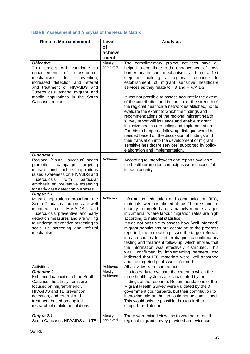# **Table 6: Assessment and Analysis of the Results Matrix**

| <b>Results Matrix element</b>                                                                                                                                                                                                                                                                              | Level              | <b>Analysis</b>                                                                                                                                                                                                                                                                                                                                                                                                                                                                                                                                                                                                                                                                                                                                                                                                                                                                                                                                                             |
|------------------------------------------------------------------------------------------------------------------------------------------------------------------------------------------------------------------------------------------------------------------------------------------------------------|--------------------|-----------------------------------------------------------------------------------------------------------------------------------------------------------------------------------------------------------------------------------------------------------------------------------------------------------------------------------------------------------------------------------------------------------------------------------------------------------------------------------------------------------------------------------------------------------------------------------------------------------------------------------------------------------------------------------------------------------------------------------------------------------------------------------------------------------------------------------------------------------------------------------------------------------------------------------------------------------------------------|
|                                                                                                                                                                                                                                                                                                            | <b>of</b>          |                                                                                                                                                                                                                                                                                                                                                                                                                                                                                                                                                                                                                                                                                                                                                                                                                                                                                                                                                                             |
|                                                                                                                                                                                                                                                                                                            | achieve<br>-ment   |                                                                                                                                                                                                                                                                                                                                                                                                                                                                                                                                                                                                                                                                                                                                                                                                                                                                                                                                                                             |
| <b>Objective</b><br>This<br>project<br>will<br>contribute<br>to<br>cross-border<br>enhancement<br>οf<br>mechanisms<br>for<br>prevention,<br>increased detection and referral<br>and treatment of HIV/AIDS and<br>Tuberculosis among migrant and<br>mobile populations in the South<br>Caucasus region.     | Mostly<br>achieved | The complimentary project activities have all<br>helped to contribute to the enhancement of cross<br>border health care mechanisms and are a first<br>building<br>regional<br>step<br>$\mathsf{in}$<br>$\mathsf{a}$<br>response<br>to<br>establishment of migrant sensitive healthcare<br>services as they relate to TB and HIV/AIDS.<br>It was not possible to assess accurately the extent<br>of the contribution and in particular, the strength of<br>the regional healthcare network established, nor to<br>evaluate the extent to which the findings and<br>recommendations of the regional migrant health<br>survey report will influence and enable migrant<br>inclusive health care policy and implementation.<br>For this to happen a follow-up dialogue would be<br>needed based on the discussion of findings and<br>their translation into the development of migrant<br>sensitive healthcare services' supported by policy<br>elaboration and implementation. |
| <b>Outcome 1</b><br>Regional (South Caucasus) health<br>promotion<br>campaign<br>targeting<br>migrant and mobile populations<br>raises awareness on HIV/AIDS and<br>particular<br><b>Tuberculosis</b><br>with<br>emphasis on preventive screening<br>for early case detection purposes.                    | Achieved           | According to interviewees and reports available,<br>the health promotion campaigns were successful<br>in each country.                                                                                                                                                                                                                                                                                                                                                                                                                                                                                                                                                                                                                                                                                                                                                                                                                                                      |
| Output 1.1<br>Migrant populations throughout the<br>South Caucasus countries are well<br><b>HIV/AIDS</b><br>informed<br><b>on</b><br>and<br>Tuberculosis preventive and early<br>detection measures and are willing<br>to undergo preventive screening to<br>scale up screening and referral<br>mechanism. | Achieved           | Information, education and communication (IEC)<br>materials, were distributed at the 2 borders and in-<br>country in targeted areas (namely remote villages<br>in Armenia, where labour migration rates are high<br>according to national statistics).<br>It was not possible to assess how "well informed"<br>migrant populations but according to the progress<br>reported, the project surpassed the target referrals<br>in each country for further diagnostic confirmatory<br>testing and treatment follow-up, which implies that<br>the information was effectively distributed. This<br>confirmed by implementing partners who<br>was<br>indicated that IEC materials were well absorbed<br>and the targeted public well informed.                                                                                                                                                                                                                                   |
| Activities                                                                                                                                                                                                                                                                                                 | Achieved           | All activities were carried out.                                                                                                                                                                                                                                                                                                                                                                                                                                                                                                                                                                                                                                                                                                                                                                                                                                                                                                                                            |
| <b>Outcome 2</b><br>Enhanced capacities of the South<br>Caucasus health systems are<br>focused on migrant-friendly<br>HIV/AIDS and TB prevention,<br>detection, and referral and<br>treatment based on applied<br>research of mobile populations.                                                          | Mostly<br>Achieved | It is too early to evaluate the extent to which the<br>three health systems are capacitated by the<br>findings of the research. Recommendations of the<br>Migrant Health Survey were validated by the 3<br>government counterparts, but their contribution to<br>improving migrant health could not be established.<br>This would only be possible through further<br>support for dialogue.                                                                                                                                                                                                                                                                                                                                                                                                                                                                                                                                                                                 |
| Output 2.1                                                                                                                                                                                                                                                                                                 | Mostly             | There were mixed views as to whether or not the                                                                                                                                                                                                                                                                                                                                                                                                                                                                                                                                                                                                                                                                                                                                                                                                                                                                                                                             |
| South Caucasus HIV/AIDS and TB                                                                                                                                                                                                                                                                             | achieved           | regional migrant survey provided an `evidence                                                                                                                                                                                                                                                                                                                                                                                                                                                                                                                                                                                                                                                                                                                                                                                                                                                                                                                               |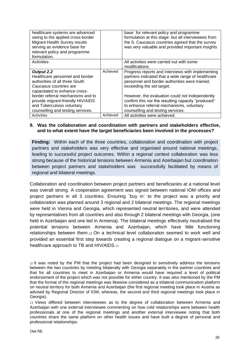| healthcare systems are advanced<br>owing to the applied cross-border<br>Migrant Health Survey results<br>serving as evidence base for<br>relevant policy and programme<br>formulation.                               |          | base` for relevant policy and programme<br>formulation at this stage but all interviewees from<br>the S. Caucasus countries agreed that the survey<br>was very valuable and provided important insights                                                                                         |
|----------------------------------------------------------------------------------------------------------------------------------------------------------------------------------------------------------------------|----------|-------------------------------------------------------------------------------------------------------------------------------------------------------------------------------------------------------------------------------------------------------------------------------------------------|
| Activities                                                                                                                                                                                                           |          | All activities were carried out with some<br>modifications.                                                                                                                                                                                                                                     |
| Output 2.2<br>Healthcare personnel and border<br>authorities of all three South<br>Caucasus countries are<br>capacitated to enhance cross-<br>border referral mechanisms and to<br>provide migrant-friendly HIV/AIDS | Achieved | Progress reports and interviews with implementing<br>partners indicated that a wide range of healthcare<br>personnel and border authorities were trained,<br>exceeding the set target.<br>However, the evaluation could not independently<br>confirm this nor the resulting capacity "produced" |
| and Tuberculosis voluntary<br>counselling and testing services.                                                                                                                                                      |          | to enhance referral mechanisms, voluntary<br>counselling and testing services.                                                                                                                                                                                                                  |
| <b>Activities</b>                                                                                                                                                                                                    | Achieved | All activities were achieved.                                                                                                                                                                                                                                                                   |

#### **9. Was the collaboration and coordination with partners and stakeholders effective, and to what extent have the target beneficiaries been involved in the processes?**

**Finding:** Within each of the three countries, collaboration and coordination with project partners and stakeholders was very effective and organised around national meetings, leading to successful project outcomes. Within a regional context collaboration was less strong because of the historical tensions between Armenia and Azerbaijan but coordination between project partners and stakeholders was successfully facilitated by means of regional and bilateral meetings.

Collaboration and coordination between project partners and beneficiaries at a national level was overall strong. A cooperation agreement was signed between national IOM offices and project partners in all 3 countries. Ensuring `buy in` to the project was a priority and collaboration was planned around 3 regional and 2 bilateral meetings. The regional meetings were held in Vienna and Georgia, which represented neutral territories, and were attended by representatives from all countries and also through 2 bilateral meetings with Georgia, (one held in Azerbaijan and one led in Armenia). The bilateral meetings effectively neutralised the potential tensions between Armenia and Azerbaijan, which have little functioning relationships between them.<sup>12</sup> On a technical level collaboration seemed to work well and provided an essential first step towards creating a regional dialogue on a migrant-sensitive healthcare approach to TB and HIV/AIDS.13

<sup>12</sup> It was noted by the PM that the project had been designed to sensitively address the tensions between the two countries by meeting bilaterally with Georgia separately in the partner countries and that for all countries to meet in Azerbaijan or Armenia would have required a level of political endorsement of the project which was not possible for either country. It was also mentioned by the PM that the format of the regional meetings was likewise considered as a trilateral communication platform on neutral territory for both Armenia and Azerbaijan (the first regional meeting took place in Austria as advised by Regional Director of IOM, whereas, the second and third regional meetings took place in Georgia).

<sup>13</sup> Views differed between interviewees as to the degree of collaboration between Armenia and Azerbaijan with one external interviewee commenting on how cold relationships were between health professionals at one of the regional meetings and another external interviewee noting that both countries share the same platform on other health issues and have built a degree of personal and professional relationships.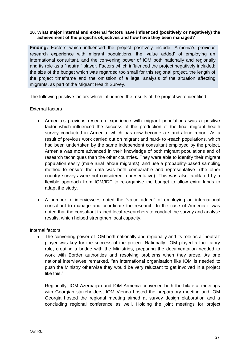#### **10. What major internal and external factors have influenced (positively or negatively) the achievement of the project's objectives and how have they been managed?**

**Finding:** Factors which influenced the project positively include: Armenia's previous research experience with migrant populations, the 'value added' of employing an international consultant, and the convening power of IOM both nationally and regionally and its role as a `neutral` player. Factors which influenced the project negatively included: the size of the budget which was regarded too small for this regional project, the length of the project timeframe and the omission of a legal analysis of the situation affecting migrants, as part of the Migrant Health Survey.

The following positive factors which influenced the results of the project were identified:

#### External factors

- Armenia's previous research experience with migrant populations was a positive factor which influenced the success of the production of the final migrant health survey conducted in Armenia, which has now become a stand-alone report. As a result of previous work carried out on migrant and hard- to -reach populations, which had been undertaken by the same independent consultant employed by the project, Armenia was more advanced in their knowledge of both migrant populations and of research techniques than the other countries. They were able to identify their migrant population easily (male rural labour migrants), and use a probability-based sampling method to ensure the data was both comparable and representative, (the other country surveys were not considered representative). This was also facilitated by a flexible approach from IOM/IDF to re-organise the budget to allow extra funds to adapt the study.
- A number of interviewees noted the `value added` of employing an international consultant to manage and coordinate the research. In the case of Armenia it was noted that the consultant trained local researchers to conduct the survey and analyse results, which helped strengthen local capacity.

#### Internal factors

• The convening power of IOM both nationally and regionally and its role as a `neutral` player was key for the success of the project. Nationally, IOM played a facilitatory role, creating a bridge with the Ministries, preparing the documentation needed to work with Border authorities and resolving problems when they arose. As one national interviewee remarked, "an international organisation like IOM is needed to push the Ministry otherwise they would be very reluctant to get involved in a project like this."

Regionally, IOM Azerbaijan and IOM Armenia convened both the bilateral meetings with Georgian stakeholders, IOM Vienna hosted the preparatory meeting and IOM Georgia hosted the regional meeting aimed at survey design elaboration and a concluding regional conference as well. Holding the joint meetings for project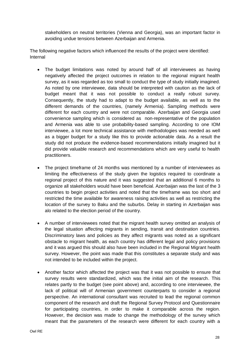stakeholders on neutral territories (Vienna and Georgia), was an important factor in avoiding undue tensions between Azerbaijan and Armenia.

The following negative factors which influenced the results of the project were identified: Internal

- The budget limitations was noted by around half of all interviewees as having negatively affected the project outcomes in relation to the regional migrant health survey, as it was regarded as too small to conduct the type of study initially imagined. As noted by one interviewee, data should be interpreted with caution as the lack of budget meant that it was not possible to conduct a really robust survey. Consequently, the study had to adapt to the budget available, as well as to the different demands of the countries, (namely Armenia). Sampling methods were different for each country and were not comparable. Azerbaijan and Georgia used convenience sampling which is considered as non-representative of the population and Armenia was able to use probability-based sampling. According to one IOM interviewee, a lot more technical assistance with methodologies was needed as well as a bigger budget for a study like this to provide actionable data. As a result the study did not produce the evidence-based recommendations initially imagined but it did provide valuable research and recommendations which are very useful to health practitioners.
- The project timeframe of 24 months was mentioned by a number of interviewees as limiting the effectiveness of the study given the logistics required to coordinate a regional project of this nature and it was suggested that an additional 6 months to organize all stakeholders would have been beneficial. Azerbaijan was the last of the 3 countries to begin project activities and noted that the timeframe was too short and restricted the time available for awareness raising activities as well as restricting the location of the survey to Baku and the suburbs. Delay in starting in Azerbaijan was alo related to the election period of the country.
- A number of interviewees noted that the migrant health survey omitted an analysis of the legal situation affecting migrants in sending, transit and destination countries. Discriminatory laws and policies as they affect migrants was noted as a significant obstacle to migrant health, as each country has different legal and policy provisions and it was argued this should also have been included in the Regional Migrant health survey. However, the point was made that this constitutes a separate study and was not intended to be included within the project.
- Another factor which affected the project was that it was not possible to ensure that survey results were standardized, which was the initial aim of the research. This relates partly to the budget (see point above) and, according to one interviewee, the lack of political will of Armenian government counterparts to consider a regional perspective. An international consultant was recruited to lead the regional common component of the research and draft the Regional Survey Protocol and Questionnaire for participating countries, in order to make it comparable across the region. However, the decision was made to change the methodology of the survey which meant that the parameters of the research were different for each country with a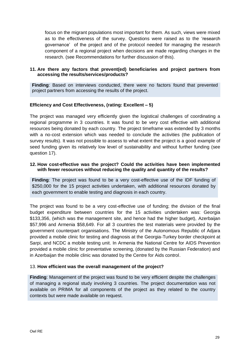focus on the migrant populations most important for them. As such, views were mixed as to the effectiveness of the survey. Questions were raised as to the 'research governance' of the project and of the protocol needed for managing the research component of a regional project when decisions are made regarding changes in the research. (see Recommendations for further discussion of this).

#### **11. Are there any factors that prevent(ed) beneficiaries and project partners from accessing the results/services/products?**

**Finding**: Based on interviews conducted, there were no factors found that prevented project partners from accessing the results of the project.

#### **Efficiency and Cost Effectiveness, (rating: Excellent – 5)**

The project was managed very efficiently given the logistical challenges of coordinating a regional programme in 3 countries. It was found to be very cost effective with additional resources being donated by each country. The project timeframe was extended by 3 months with a no-cost extension which was needed to conclude the activities (the publication of survey results). It was not possible to assess to what extent the project is a good example of seed funding given its relatively low level of sustainability and without further funding (see question 17).

#### **12. How cost-effective was the project? Could the activities have been implemented with fewer resources without reducing the quality and quantity of the results?**

**Finding**: The project was found to be a very cost-effective use of the IDF funding of \$250,000 for the 15 project activities undertaken, with additional resources donated by each government to enable testing and diagnosis in each country.

The project was found to be a very cost-effective use of funding; the division of the final budget expenditure between countries for the 15 activities undertaken was: Georgia \$133,356, (which was the management site, and hence had the higher budget), Azerbaijan \$57,996 and Armenia \$58,649. For all 3 countries the test materials were provided by the government counterpart organisations. The Ministry of the Autonomous Republic of Adjara provided a mobile clinic for testing and diagnosis at the Georgia-Turkey border checkpoint at Sarpi, and NCDC a mobile testing unit. In Armenia the National Centre for AIDS Prevention provided a mobile clinic for preventative screening, (donated by the Russian Federation) and in Azerbaijan the mobile clinic was donated by the Centre for Aids control.

#### 13. **How efficient was the overall management of the project?**

**Finding**: Management of the project was found to be very efficient despite the challenges of managing a regional study involving 3 countries. The project documentation was not available on PRIMA for all components of the project as they related to the country contexts but were made available on request.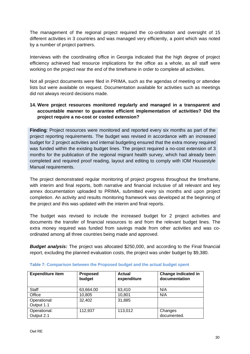The management of the regional project required the co-ordination and oversight of 15 different activities in 3 countries and was managed very efficiently, a point which was noted by a number of project partners.

Interviews with the coordinating office in Georgia indicated that the high degree of project efficiency achieved had resource implications for the office as a whole, as all staff were working on the project near the end of the timeframe in order to complete all activities.

Not all project documents were filed in PRIMA, such as the agendas of meeting or attendee lists but were available on request. Documentation available for activities such as meetings did not always record decisions made.

# **14. Were project resources monitored regularly and managed in a transparent and accountable manner to guarantee efficient implementation of activities? Did the project require a no-cost or costed extension?**

**Finding**: Project resources were monitored and reported every six months as part of the project reporting requirements. The budget was revised in accordance with an increased budget for 2 project activities and internal budgeting ensured that the extra money required was funded within the existing budget lines. The project required a no-cost extension of 3 months for the publication of the regional migrant health survey, which had already been completed and required proof reading, layout and editing to comply with IOM Housestyle Manual requirements.

The project demonstrated regular monitoring of project progress throughout the timeframe, with interim and final reports, both narrative and financial inclusive of all relevant and key annex documentation uploaded to PRIMA, submitted every six months and upon project completion. An activity and results monitoring framework was developed at the beginning of the project and this was updated with the interim and final reports.

The budget was revised to include the increased budget for 2 project activities and documents the transfer of financial resources to and from the relevant budget lines. The extra money required was funded from savings made from other activities and was coordinated among all three countries being made and approved.

**Budget analysis:** The project was allocated \$250,000, and according to the Final financial report, excluding the planned evaluation costs, the project was under budget by \$9,380.

| <b>Expenditure item</b>    | <b>Proposed</b><br>budget | <b>Actual</b><br>expenditure | <b>Change indicated in</b><br>documentation |
|----------------------------|---------------------------|------------------------------|---------------------------------------------|
| Staff                      | 63,664.00                 | 63.410                       | N/A                                         |
| Office                     | 10,805                    | 10,801                       | N/A                                         |
| Operational:<br>Output 1.1 | 32,402                    | 31,885                       |                                             |
| Operational:<br>Output 2.1 | 112,937                   | 113,012                      | Changes<br>documented.                      |

#### **Table 7: Comparison between the Proposed budget and the actual budget spent**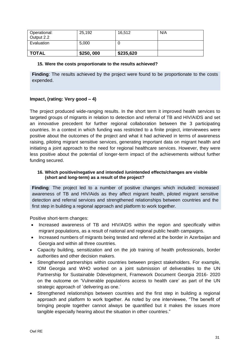| <b>TOTAL</b>               | \$250,000 | \$235,620 |     |
|----------------------------|-----------|-----------|-----|
| Evaluation                 | 5,000     |           |     |
| Operational:<br>Output 2.2 | 25,192    | 16,512    | N/A |

#### **15. Were the costs proportionate to the results achieved?**

**Finding**: The results achieved by the project were found to be proportionate to the costs expended.

# **Impact, (rating: Very good – 4)**

The project produced wide-ranging results. In the short term it improved health services to targeted groups of migrants in relation to detection and referral of TB and HIV/AIDS and set an innovative precedent for further regional collaboration between the 3 participating countries. In a context in which funding was restricted to a finite project, interviewees were positive about the outcomes of the project and what it had achieved in terms of awareness raising, piloting migrant sensitive services, generating important data on migrant health and initiating a joint approach to the need for regional healthcare services. However, they were less positive about the potential of longer-term impact of the achievements without further funding secured.

#### **16. Which positive/negative and intended /unintended effects/changes are visible (short and long-term) as a result of the project?**

**Finding**: The project led to a number of positive changes which included: increased awareness of TB and HIV/Aids as they affect migrant health, piloted migrant sensitive detection and referral services and strengthened relationships between countries and the first step in building a regional approach and platform to work together.

Positive short-term changes:

- Increased awareness of TB and HIV/AIDS within the region and specifically within migrant populations, as a result of national and regional public health campaigns.
- Increased numbers of migrants being tested and referred at the border in Azerbaijan and Georgia and within all three countries.
- Capacity building, sensitization and on the job training of health professionals, border authorities and other decision makers.
- Strengthened partnerships within countries between project stakeholders. For example, IOM Georgia and WHO worked on a joint submission of deliverables to the UN Partnership for Sustainable Ddevelopment, Framework Document Georgia 2016- 2020 on the outcome on 'Vulnerable populations access to health care' as part of the UN strategic approach of `delivering as one.`
- Strengthened relationships between countries and the first step in building a regional approach and platform to work together. As noted by one interviewee, "The benefit of bringing people together cannot always be quantified but it makes the issues more tangible especially hearing about the situation in other countries."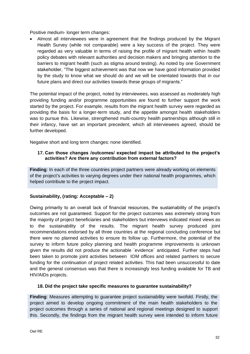Positive medium- longer term changes:

• Almost all interviewees were in agreement that the findings produced by the Migrant Health Survey (while not comparable) were a key success of the project. They were regarded as very valuable in terms of raising the profile of migrant health within health policy debates with relevant authorities and decision makers and bringing attention to the barriers to migrant health (such as stigma around testing). As noted by one Government stakeholder, "The biggest achievement was that now we have good information provided by the study to know what we should do and we will be orientated towards that in our future plans and direct our activities towards these groups of migrants."

The potential impact of the project, noted by interviewees, was assessed as moderately high providing funding and/or programme opportunities are found to further support the work started by the project. For example, results from the migrant health survey were regarded as providing the basis for a longer-term study, and the appetite amongst health stakeholders was to pursue this. Likewise, strengthened multi-country health partnerships although still in their infancy, have set an important precedent, which all interviewees agreed, should be further developed.

Negative short and long term changes: none identified.

# **17. Can those changes /outcomes/ expected impact be attributed to the project's activities? Are there any contribution from external factors?**

**Finding**: In each of the three countries project partners were already working on elements of the project's activities to varying degrees under their national health programmes, which helped contribute to the project impact.

# **Sustainability, (rating: Acceptable – 2)**

Owing primarily to an overall lack of financial resources, the sustainability of the project's outcomes are not guaranteed. Support for the project outcomes was extremely strong from the majority of project beneficiaries and stakeholders but interviews indicated mixed views as to the sustainability of the results. The migrant health survey produced joint recommendations endorsed by all three countries at the regional concluding conference but there were no planned activities to ensure its follow up. Furthermore, the potential of the survey to inform future policy planning and health programme improvements is unknown given the results did not produce the actionable `evidence` anticipated. Further steps had been taken to promote joint activities between IOM offices and related partners to secure funding for the continuation of project related activities. This had been unsuccessful to date and the general consensus was that there is increasingly less funding available for TB and HIV/AIDs projects.

#### **18. Did the project take specific measures to guarantee sustainability?**

**Finding**: Measures attempting to guarantee project sustainability were twofold. Firstly, the project aimed to develop ongoing commitment of the main health stakeholders to the project outcomes through a series of national and regional meetings designed to support this. Secondly, the findings from the migrant health survey were intended to inform future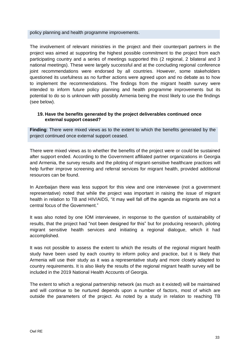policy planning and health programme improvements.

The involvement of relevant ministries in the project and their counterpart partners in the project was aimed at supporting the highest possible commitment to the project from each participating country and a series of meetings supported this (2 regional, 2 bilateral and 3 national meetings). These were largely successful and at the concluding regional conference joint recommendations were endorsed by all countries. However, some stakeholders questioned its usefulness as no further actions were agreed upon and no debate as to how to implement the recommendations. The findings from the migrant health survey were intended to inform future policy planning and health programme improvements but its potential to do so is unknown with possibly Armenia being the most likely to use the findings (see below).

#### **19. Have the benefits generated by the project deliverables continued once external support ceased?**

**Finding**: There were mixed views as to the extent to which the benefits generated by the project continued once external support ceased.

There were mixed views as to whether the benefits of the project were or could be sustained after support ended. According to the Government affiliated partner organizations in Georgia and Armenia, the survey results and the piloting of migrant-sensitive healthcare practices will help further improve screening and referral services for migrant health, provided additional resources can be found.

In Azerbaijan there was less support for this view and one interviewee (not a government representative) noted that while the project was important in raising the issue of migrant health in relation to TB and HIV/AIDS, "it may well fall off the agenda as migrants are not a central focus of the Government."

It was also noted by one IOM interviewee, in response to the question of sustainability of results, that the project had "not been designed for this" but for producing research, piloting migrant sensitive health services and initiating a regional dialogue, which it had accomplished.

It was not possible to assess the extent to which the results of the regional migrant health study have been used by each country to inform policy and practice, but it is likely that Armenia will use their study as it was a representative study and more closely adapted to country requirements. It is also likely the results of the regional migrant health survey will be included in the 2019 National Health Accounts of Georgia.

The extent to which a regional partnership network (as much as it existed) will be maintained and will continue to be nurtured depends upon a number of factors, most of which are outside the parameters of the project. As noted by a study in relation to reaching TB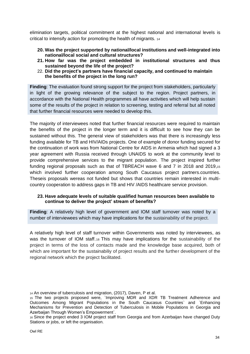elimination targets, political commitment at the highest national and international levels is critical to intensify action for promoting the health of migrants. <sup>14</sup>

- **20. Was the project supported by national/local institutions and well-integrated into national/local social and cultural structures?**
- **21. How far was the project embedded in institutional structures and thus sustained beyond the life of the project?**
- 22. **Did the project's partners have financial capacity, and continued to maintain the benefits of the project in the long run?**

**Finding**: The evaluation found strong support for the project from stakeholders, particularly in light of the growing relevance of the subject to the region. Project partners, in accordance with the National Health programmes all have activities which will help sustain some of the results of the project in relation to screening, testing and referral but all noted that further financial resources were needed to develop this.

The majority of interviewees noted that further financial resources were required to maintain the benefits of the project in the longer term and it is difficult to see how they can be sustained without this. The general view of stakeholders was that there is increasingly less funding available for TB and HIV/AIDs projects. One of example of donor funding secured for the continuation of work was from National Centre for AIDS in Armenia which had signed a 3 year agreement with Russia received through UNAIDS to work at the community level to provide comprehensive services to the migrant population. The project inspired further funding regional proposals such as that of TBREACH wave 6 and 7 in 2018 and 2019,<sup>15</sup> which involved further cooperation among South Caucasus project partners.countries. Theseis proposals wereas not funded but shows that countries remain interested in multicountry cooperation to address gaps in TB and HIV /AIDS healthcare service provision.

# **23. Have adequate levels of suitable qualified human resources been available to continue to deliver the project' stream of benefits?**

**Finding**: A relatively high level of government and IOM staff turnover was noted by a number of interviewees which may have implications for the sustainability of the project.

A relatively high level of staff turnover within Governments was noted by interviewees, as was the turnover of IOM staff.16 This may have implications for the sustainability of the project in terms of the loss of contacts made and the knowledge base acquired, both of which are important for the sustainabiliy of project results and the further development of the regional network which the project facilitated.

<sup>14</sup> An overview of tuberculosis and migration, (2017), Daven, P et al.

<sup>15</sup> The two projects proposed were, `Improving MDR and XDR TB Treatment Adherence and Outcomes Among Migrant Populations in the South Caucasus Countries` and `Enhancing Mechanisms for Prevention and Detection of Tuberculosis in Mobile Populations in Georgia and Azerbaijan Through Women's Empowerment`.

<sup>16</sup> Since the project ended 3 IOM project staff from Georgia and from Azerbaijan have changed Duty Stations or jobs, or left the organisation.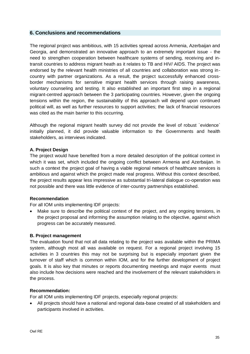# <span id="page-34-0"></span>**6. Conclusions and recommendations**

The regional project was ambitious, with 15 activities spread across Armenia, Azerbaijan and Georgia, and demonstrated an innovative approach to an extremely important issue - the need to strengthen cooperation between healthcare systems of sending, receiving and intransit countries to address migrant heath as it relates to TB and HIV/ AIDS. The project was endorsed by the relevant health ministries of all countries and collaboration was strong incountry with partner organizations. As a result, the project successfully enhanced crossborder mechanisms for sensitive migrant health services through raising awareness, voluntary counseling and testing. It also established an important first step in a regional migrant-centred approach between the 3 participating countries. However, given the ongoing tensions within the region, the sustainability of this approach will depend upon continued political will, as well as further resources to support activities; the lack of financial resources was cited as the main barrier to this occurring.

Although the regional migrant health survey did not provide the level of robust `evidence` initially planned, it did provide valuable information to the Governments and health stakeholders, as interviews indicated.

# **A. Project Design**

The project would have benefited from a more detailed description of the political context in which it was set, which included the ongoing conflict between Armenia and Azerbaijan. In such a context the project goal of having a viable regional network of healthcare services is ambitious and against which the project made real progress. Without this context described, the project results appear less impressive as substantial tri-lateral dialogue co-operation was not possible and there was little evidence of inter-country partnerships established.

#### **Recommendation**

For all IOM units implementing IDF projects:

• Make sure to describe the political context of the project, and any ongoing tensions, in the project proposal and informing the assumption relating to the objective, against which progress can be accurately measured.

#### **B. Project management**

The evaluation found that not all data relating to the project was available within the PRIMA system, although most all was available on request. For a regional project involving 15 activities in 3 countries this may not be surprising but is especially important given the turnover of staff which is common within IOM, and for the further development of project goals. It is also key that minutes or reports documenting meetings and major events must also include how decisions were reached and the involvement of the relevant stakeholders in the process.

#### **Recommendation:**

For all IOM units implementing IDF projects, especially regional projects:

• All projects should have a national and regional data-base created of all stakeholders and participants involved in activities.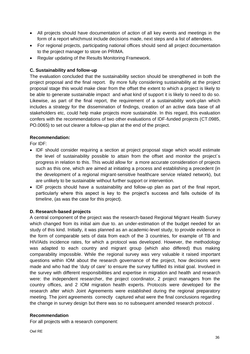- All projects should have documentation of action of all key events and meetings in the form of a report whichmust include decisions made, next steps and a list of attendees.
- For regional projects, participating national offices should send all project documentation to the project manager to store on PRIMA.
- Regular updating of the Results Monitoring Framework.

# **C. Sustainability and follow-up**

The evaluation concluded that the sustainability section should be strengthened in both the project proposal and the final report. By more fully considering sustainability at the project proposal stage this would make clear from the offset the extent to which a project is likely to be able to generate sustainable impact and what kind of support it is likely to need to do so. Likewise, as part of the final report, the requirement of a sustainability work-plan which includes a strategy for the dissemination of findings, creation of an active data base of all stakeholders etc, could help make projects more sustainable. In this regard, this evaluation confers with the recommendations of two other evaluations of IDF-funded projects (CT.0985, PO.0065) to set out clearer a follow-up plan at the end of the project.

# **Recommendation:**

For IDF:

- IDF should consider requiring a section at project proposal stage which would estimate the level of sustainability possible to attain from the offset and monitor the project`s progress in relation to this. This would allow for a more accurate consideration of projects such as this one, which are aimed at initiating a process and establishing a precedent (in the development of a regional migrant-sensitive healthcare service related network), but are unlikely to be sustainable without further support or intervention.
- IDF projects should have a sustainability and follow-up plan as part of the final report, particularly where this aspect is key to the project's success and falls outside of its timeline, (as was the case for this project).

# **D. Research-based projects**

A central component of the project was the research-based Regional Migrant Health Survey which changed from its initial aim due to. an under-estimation of the budget needed for an study of this kind. Initially, it was planned as an academic-level study, to provide evidence in the form of comparable sets of data from each of the 3 countries, for example of TB and HIV/Aids incidence rates, for which a protocol was developed. However, the methodology was adapted to each country and migrant group (which also differed) thus making comparability impossible. While the regional survey was very valuable it raised important questions within IOM about the research governance of the project, how decisions were made and who had the 'duty of care' to ensure the survey fulfilled its initial goal. Involved in the survey with different responsibilities and expertise in migration and health and research were: the independent researcher, the project coordinator, 2 project managers from the country offices, and 2 IOM migration health experts. Protocols were developed for the research after which Joint Agreements were established during the regional preparatory meeting. The joint agreements correctly captured what were the final conclusions regarding the change in survey design but there was so no subsequent amended research protocol .

#### **Recommendation**

For all projects with a research component: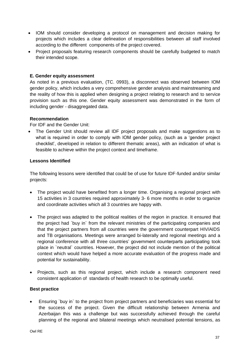- IOM should consider developing a protocol on management and decision making for projects which includes a clear delineation of responsibilities between all staff involved according to the different components of the project covered.
- Project proposals featuring research components should be carefully budgeted to match their intended scope.

# **E. Gender equity assessment**

As noted in a previous evaluation, (TC. 0993), a disconnect was observed between IOM gender policy, which includes a very comprehensive gender analysis and mainstreaming and the reality of how this is applied when designing a project relating to research and to service provision such as this one. Gender equity assessment was demonstrated in the form of including gender - disaggregated data.

# **Recommendation**

For IDF and the Gender Unit:

• The Gender Unit should review all IDF project proposals and make suggestions as to what is required in order to comply with IOM gender policy, (such as a 'gender project checklist', developed in relation to different thematic areas), with an indication of what is feasible to achieve within the project context and timeframe.

# **Lessons Identified**

The following lessons were identified that could be of use for future IDF-funded and/or similar projects:

- The project would have benefited from a longer time. Organising a regional project with 15 activities in 3 countries required approximately 3- 6 more months in order to organize and coordinate activities which all 3 countries are happy with.
- The project was adapted to the political realities of the region in practice. It ensured that the project had `buy in` from the relevant ministries of the participating companies and that the project partners from all countries were the government counterpart HIV/AIDS and TB organisations. Meetings were arranged bi-laterally and regional meetings and a regional conference with all three countries' government counterparts participating took place in `neutral` countries. However, the project did not include mention of the political context which would have helped a more accurate evaluation of the progress made and potential for sustainability.
- Projects, such as this regional project, which include a research component need consistent application of standards of health research to be optimally useful.

#### **Best practice**

• Ensuring `buy in` to the project from project partners and beneficiaries was essential for the success of the project. Given the difficult relationship between Armenia and Azerbaijan this was a challenge but was successfully achieved through the careful planning of the regional and bilateral meetings which neutralised potential tensions, as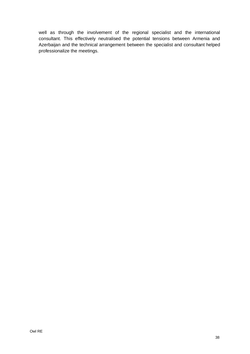<span id="page-37-0"></span>well as through the involvement of the regional specialist and the international consultant. This effectively neutralised the potential tensions between Armenia and Azerbaijan and the technical arrangement between the specialist and consultant helped professionalize the meetings.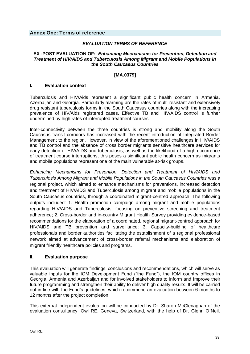**Annex One: Terms of reference**

#### *EVALUATION TERMS OF REFERENCE*

#### **EX -POST EVALUATION OF:** *Enhancing Mechanisms for Prevention, Detection and Treatment of HIV/AIDS and Tuberculosis Among Migrant and Mobile Populations in the South Caucasus Countries*

#### **[MA.0379]**

#### **I. Evaluation context**

Tuberculosis and HIV/Aids represent a significant public health concern in Armenia, Azerbaijan and Georgia. Particularly alarming are the rates of multi-resistant and extensively drug resistant tuberculosis forms in the South Caucasus countries along with the increasing prevalence of HIV/Aids registered cases. Effective TB and HIV/AIDS control is further undermined by high rates of interrupted treatment courses.

Inter-connectivity between the three countries is strong and mobility along the South Caucasus transit corridors has increased with the recent introduction of Integrated Border Management to the region. However, in view of the aforementioned challenges in HIV/AIDS and TB control and the absence of cross border migrants sensitive healthcare services for early detection of HIV/AIDS and tuberculosis, as well as the likelihood of a high occurrence of treatment course interruptions, this poses a significant public health concern as migrants and mobile populations represent one of the main vulnerable at-risk groups.

*Enhancing Mechanisms for Prevention, Detection and Treatment of HIV/AIDS and Tuberculosis Among Migrant and Mobile Populations in the South Caucasus Countries* was a regional project, which aimed to enhance mechanisms for preventions, increased detection and treatment of HIV/AIDS and Tuberculosis among migrant and mobile populations in the South Caucasus countries, through a coordinated migrant-centred approach. The following outputs included: 1. Health promotion campaign among migrant and mobile populations regarding HIV/AIDS and Tuberculosis, focusing on preventive screening and treatment adherence; 2. Cross-border and in-country Migrant Health Survey providing evidence-based recommendations for the elaboration of a coordinated, regional migrant-centred approach for HIV/AIDS and TB prevention and surveillance; 3. Capacity-building of healthcare professionals and border authorities facilitating the establishment of a regional professional network aimed at advancement of cross-border referral mechanisms and elaboration of migrant friendly healthcare policies and programs.

#### **II. Evaluation purpose**

This evaluation will generate findings, conclusions and recommendations, which will serve as valuable inputs for the IOM Development Fund ("the Fund"), the IOM country offices in Georgia, Armenia and Azerbaijan and for involved stakeholders to inform and improve their future programming and strengthen their ability to deliver high quality results. It will be carried out in line with the Fund's guidelines, which recommend an evaluation between 6 months to 12 months after the project completion.

This external independent evaluation will be conducted by Dr. Sharon McClenaghan of the evaluation consultancy, Owl RE, Geneva, Switzerland, with the help of Dr. Glenn O'Neil.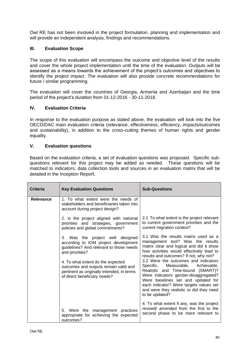Owl RE has not been involved in the project formulation, planning and implementation and will provide an independent analysis, findings and recommendations.

#### **III. Evaluation Scope**

The scope of this evaluation will encompass the outcome and objective level of the results and cover the whole project implementation until the time of the evaluation. Outputs will be assessed as a means towards the achievement of the project's outcomes and objectives to identify the project impact. The evaluation will also provide concrete recommendations for future / similar programming.

The evaluation will cover the countries of Georgia, Armenia and Azerbaijan and the time period of the project's duration from 01-12-2016 - 30-11-2018.

# **IV. Evaluation Criteria**

In response to the evaluation purpose as stated above, the evaluation will look into the five OECD/DAC main evaluation criteria (relevance, effectiveness, efficiency, impacts/outcomes and sustainability), in addition to the cross-cutting themes of human rights and gender equality.

#### **V. Evaluation questions**

Based on the evaluation criteria, a set of evaluation questions was proposed. Specific subquestions relevant for this project may be added as needed. These questions will be matched to indicators, data collection tools and sources in an evaluation matrix that will be detailed in the Inception Report.

| <b>Criteria</b>  | <b>Key Evaluation Questions</b>                                                                                                                                                                                                                                                                    | <b>Sub-Questions</b>                                                                                                                                                                                                                                                                                                                                                                                                                                                                                                    |
|------------------|----------------------------------------------------------------------------------------------------------------------------------------------------------------------------------------------------------------------------------------------------------------------------------------------------|-------------------------------------------------------------------------------------------------------------------------------------------------------------------------------------------------------------------------------------------------------------------------------------------------------------------------------------------------------------------------------------------------------------------------------------------------------------------------------------------------------------------------|
| <b>Relevance</b> | 1. To what extent were the needs of<br>stakeholders and beneficiaries taken into<br>account during project design?                                                                                                                                                                                 |                                                                                                                                                                                                                                                                                                                                                                                                                                                                                                                         |
|                  | 2. Is the project aligned with national<br>priorities and strategies, government<br>policies and global commitments?                                                                                                                                                                               | 2.1 To what extent is the project relevant<br>to current government priorities and the<br>current migration context?                                                                                                                                                                                                                                                                                                                                                                                                    |
|                  | 3. Was the project well designed<br>according to IOM project development<br>guidelines? And relevant to those needs<br>and priorities?<br>4. To what extent do the expected<br>outcomes and outputs remain valid and<br>pertinent as originally intended, in terms<br>of direct beneficiary needs? | 3.1 Was the results matrix used as a<br>management tool? Was the results<br>matrix clear and logical and did it show<br>how activities would effectively lead to<br>results and outcomes? If not, why not?<br>3.2 Were the outcomes and indicators<br>Measurable, Achievable,<br>Specific,<br>Realistic and Time-bound (SMART)?<br>Were indicators gender-disaggregated?<br>Were baselines set and updated for<br>each indicator? Were targets values set<br>and were they realistic or did they need<br>to be updated? |
|                  | 5. Were the management practices<br>appropriate for achieving the expected<br>outcomes?                                                                                                                                                                                                            | 4. To what extent if any, was the project<br>revised/ amended from the first to the<br>second phase to be more relevant to                                                                                                                                                                                                                                                                                                                                                                                              |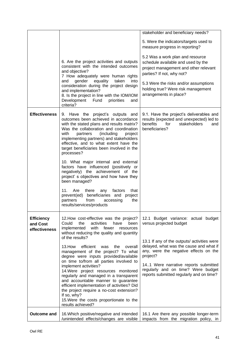|                                                |                                                                                                                                                                                                                                                                                                                                                               | stakeholder and beneficiary needs?                                                                                                               |
|------------------------------------------------|---------------------------------------------------------------------------------------------------------------------------------------------------------------------------------------------------------------------------------------------------------------------------------------------------------------------------------------------------------------|--------------------------------------------------------------------------------------------------------------------------------------------------|
|                                                |                                                                                                                                                                                                                                                                                                                                                               | 5. Were the indicators/targets used to<br>measure progress in reporting?                                                                         |
|                                                | 6. Are the project activities and outputs<br>consistent with the intended outcomes<br>and objective?<br>7 How adequately were human rights                                                                                                                                                                                                                    | 5.2 Was a work plan and resource<br>schedule available and used by the<br>project management and other relevant<br>parties? If not, why not?     |
|                                                | gender<br>equality<br>and<br>taken<br>into<br>consideration during the project design<br>and implementation?<br>8. Is the project in line with the IOM/IOM<br>Development<br>Fund<br>priorities<br>and<br>criteria?                                                                                                                                           | 5.3 Were the risks and/or assumptions<br>holding true? Were risk management<br>arrangements in place?                                            |
| <b>Effectiveness</b>                           | 9. Have the project's outputs and<br>outcomes been achieved in accordance<br>with the stated plans and results matrix?<br>Was the collaboration and coordination<br>(including<br>with<br>partners<br>project<br>implementing partners) and stakeholders<br>effective, and to what extent have the<br>target beneficiaries been involved in the<br>processes? | 9.1. Have the project's deliverables and<br>results (expected and unexpected) led to<br>stakeholders<br>benefits<br>for<br>and<br>beneficiaries? |
|                                                | 10. What major internal and external<br>factors have influenced (positively or<br>negatively) the achievement of the<br>project's objectives and how have they<br>been managed?                                                                                                                                                                               |                                                                                                                                                  |
|                                                | Are<br>11.<br>that<br>there<br>any<br>factors<br>beneficiaries and project<br>prevent(ed)<br>the<br>partners<br>from<br>accessing<br>results/services/products                                                                                                                                                                                                |                                                                                                                                                  |
| <b>Efficiency</b><br>and Cost<br>effectiveness | 12. How cost-effective was the project?<br>Could<br>the<br>activities<br>have<br>been<br>with<br>fewer<br>implemented<br>resources<br>without reducing the quality and quantity<br>of the results?                                                                                                                                                            | 12.1 Budget variance: actual budget<br>versus projected budget                                                                                   |
|                                                | efficient<br>13. How<br>the<br>was<br>overall<br>management of the project? To what<br>degree were inputs provided/available<br>on time to/from all parties involved to                                                                                                                                                                                       | 13.1 If any of the outputs/ activities were<br>delayed, what was the cause and what if<br>any, were the negative effects on the<br>project?      |
|                                                | implement activities?<br>14. Were project resources monitored<br>regularly and managed in a transparent<br>and accountable manner to guarantee<br>efficient implementation of activities? Did<br>the project require a no-cost extension?<br>If so, why?<br>15. Were the costs proportionate to the<br>results achieved?                                      | 14.1 Were narrative reports submitted<br>regularly and on time? Were budget<br>reports submitted regularly and on time?                          |
| <b>Outcome and</b>                             | 16. Which positive/negative and intended<br>/unintended effects/changes are visible                                                                                                                                                                                                                                                                           | 16.1 Are there any possible longer-term<br>impacts from the migration policy, in                                                                 |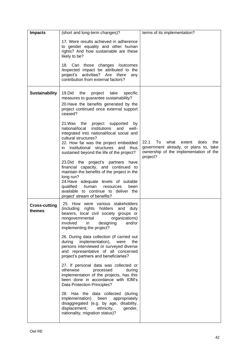| <b>Impacts</b>                 | (short and long-term changes)?                                                                                                                                                                                                                                                                     | terms of its implementation?                                                                                                   |
|--------------------------------|----------------------------------------------------------------------------------------------------------------------------------------------------------------------------------------------------------------------------------------------------------------------------------------------------|--------------------------------------------------------------------------------------------------------------------------------|
|                                | 17. Were results achieved in adherence<br>to gender equality and other human<br>rights? And how sustainable are these<br>likely to be?                                                                                                                                                             |                                                                                                                                |
|                                | 18. Can those changes /outcomes<br>/expected impact be attributed to the<br>project's activities? Are there<br>any<br>contribution from external factors?                                                                                                                                          |                                                                                                                                |
| <b>Sustainability</b>          | 19.Did<br>the<br>project<br>specific<br>take<br>measures to guarantee sustainability?<br>20. Have the benefits generated by the<br>project continued once external support<br>ceased?                                                                                                              |                                                                                                                                |
|                                | 21. Was the project supported<br>by<br>institutions<br>national/local<br>and<br>well-<br>integrated into national/local social and<br>cultural structures?<br>22. How far was the project embedded<br>in institutional structures and thus<br>sustained beyond the life of the project?            | 22.1<br>To<br>what<br>does<br>extent<br>the<br>government already, or plans to, take<br>ownership of the implementation of the |
|                                | 23. Did the project's partners have<br>financial capacity, and continued to<br>maintain the benefits of the project in the<br>long run?<br>24. Have adequate levels of suitable<br>qualified<br>human<br>resources<br>been<br>available to continue to deliver the<br>project' stream of benefits? | project?                                                                                                                       |
| <b>Cross-cutting</b><br>themes | 25. How were various stakeholders<br>(including rights holders and duty<br>bearers, local civil society groups or<br>nongovernmental organizations)<br>involved<br>and/or<br>in<br>designing<br>implementing the project?                                                                          |                                                                                                                                |
|                                | 26. During data collection (if carried out<br>during<br>implementation),<br>were<br>the<br>persons interviewed or surveyed diverse<br>and representative of all concerned<br>project's partners and beneficiaries?                                                                                 |                                                                                                                                |
|                                | 27. If personal data was collected or<br>otherwise<br>processed<br>during<br>implementation of the projects, has this<br>been done in accordance with IOM's<br>Data Protection Principles?                                                                                                         |                                                                                                                                |
|                                | 28. Has the data collected (during<br>implementation) been appropriately<br>disaggregated (e.g. by age, disability,<br>displacement,<br>ethnicity,<br>gender,<br>nationality, migration status)?                                                                                                   |                                                                                                                                |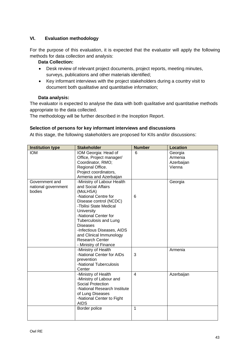# **VI. Evaluation methodology**

For the purpose of this evaluation, it is expected that the evaluator will apply the following methods for data collection and analysis:

## **Data Collection:**

- Desk review of relevant project documents, project reports, meeting minutes, surveys, publications and other materials identified;
- Key informant interviews with the project stakeholders during a country visit to document both qualitative and quantitative information;

#### **Data analysis:**

The evaluator is expected to analyse the data with both qualitative and quantitative methods appropriate to the data collected.

The methodology will be further described in the Inception Report.

# **Selection of persons for key informant interviews and discussions**

At this stage, the following stakeholders are proposed for KIIs and/or discussions:

| <b>Institution type</b>       | <b>Stakeholder</b>                               | <b>Number</b>  | <b>Location</b>    |
|-------------------------------|--------------------------------------------------|----------------|--------------------|
| <b>IOM</b>                    | IOM Georgia: Head of<br>Office, Project manager/ | 6              | Georgia<br>Armenia |
|                               | Coordinator, RMO;                                |                | Azerbaijan         |
|                               | Regional Office.                                 |                | Vienna             |
|                               |                                                  |                |                    |
|                               | Project coordinators,<br>Armenia and Azerbaijan  |                |                    |
| Government and                |                                                  |                |                    |
|                               | -Ministry of Labour Health<br>and Social Affairs |                | Georgia            |
| national government<br>bodies | (MoLHSA)                                         |                |                    |
|                               | -National Centre for                             | 6              |                    |
|                               | Disease control (NCDC)                           |                |                    |
|                               | -Tbilisi State Medical                           |                |                    |
|                               | University                                       |                |                    |
|                               | -National Center for                             |                |                    |
|                               | <b>Tuberculosis and Lung</b>                     |                |                    |
|                               | <b>Diseases</b>                                  |                |                    |
|                               | -Infectious Diseases, AIDS                       |                |                    |
|                               | and Clinical Immunology                          |                |                    |
|                               | <b>Research Center</b>                           |                |                    |
|                               | - Ministry of Finance                            |                |                    |
|                               | -Ministry of Health                              |                | Armenia            |
|                               | -National Center for AIDs                        | 3              |                    |
|                               | prevention                                       |                |                    |
|                               | -National Tuberculosis                           |                |                    |
|                               | Center                                           |                |                    |
|                               | -Ministry of Health                              | $\overline{4}$ | Azerbaijan         |
|                               | -Ministry of Labour and                          |                |                    |
|                               | <b>Social Protection</b>                         |                |                    |
|                               | -National Research Institute                     |                |                    |
|                               | of Lung Diseases                                 |                |                    |
|                               | -National Center to Fight                        |                |                    |
|                               | <b>AIDS</b>                                      |                |                    |
|                               | Border police                                    | $\mathbf{1}$   |                    |
|                               |                                                  |                |                    |
|                               |                                                  |                |                    |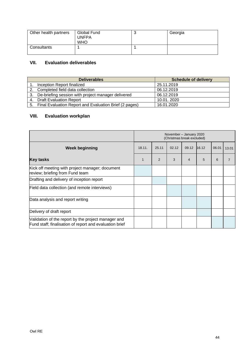| Other health partners | Global Fund<br><b>UNFPA</b><br><b>WHO</b> | J | Georgia |
|-----------------------|-------------------------------------------|---|---------|
| Consultants           |                                           |   |         |

# **VII. Evaluation deliverables**

|    | <b>Deliverables</b>                                       | <b>Schedule of delivery</b> |
|----|-----------------------------------------------------------|-----------------------------|
|    | Inception Report finalized                                | 25.11.2019                  |
|    | 2. Completed field data collection                        | 06.12.2019                  |
| 3. | De-briefing session with project manager delivered        | 06.12.2019                  |
|    | 4. Draft Evaluation Report                                | 10.01.2020                  |
|    | 5. Final Evaluation Report and Evaluation Brief (2 pages) | 16.01.2020                  |

# **VIII. Evaluation workplan**

|                                                                                                                | November - January 2020<br>(Christmas break excluded) |       |       |                |       |       |       |
|----------------------------------------------------------------------------------------------------------------|-------------------------------------------------------|-------|-------|----------------|-------|-------|-------|
| <b>Week beginning</b>                                                                                          | 18.11.                                                | 25.11 | 02.12 | 09.12          | 16.12 | 06.01 | 13.01 |
| <b>Key tasks</b>                                                                                               | $\mathbf{1}$                                          | 2     | 3     | $\overline{4}$ | 5     | 6     |       |
| Kick off meeting with project manager; document<br>review; briefing from Fund team                             |                                                       |       |       |                |       |       |       |
| Drafting and delivery of inception report                                                                      |                                                       |       |       |                |       |       |       |
| Field data collection (and remote interviews)                                                                  |                                                       |       |       |                |       |       |       |
| Data analysis and report writing                                                                               |                                                       |       |       |                |       |       |       |
| Delivery of draft report                                                                                       |                                                       |       |       |                |       |       |       |
| Validation of the report by the project manager and<br>Fund staff; finalisation of report and evaluation brief |                                                       |       |       |                |       |       |       |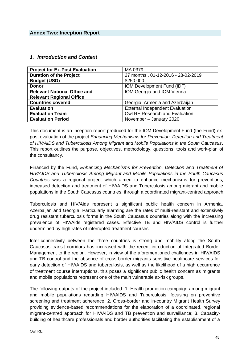| <b>Project for Ex-Post Evaluation</b> | MA.0379                                |
|---------------------------------------|----------------------------------------|
| <b>Duration of the Project</b>        | 27 months, 01-12-2016 - 28-02-2019     |
| <b>Budget (USD)</b>                   | \$250,000                              |
| <b>Donor</b>                          | IOM Development Fund (IDF)             |
| <b>Relevant National Office and</b>   | IOM Georgia and IOM Vienna             |
| <b>Relevant Regional Office</b>       |                                        |
| <b>Countries covered</b>              | Georgia, Armenia and Azerbaijan        |
| <b>Evaluation</b>                     | <b>External Independent Evaluation</b> |
| <b>Evaluation Team</b>                | Owl RE Research and Evaluation         |
| <b>Evaluation Period</b>              | November - January 2020                |

#### <span id="page-44-0"></span>*1. Introduction and Context*

This document is an inception report produced for the IOM Development Fund (the Fund) expost evaluation of the project *Enhancing Mechanisms for Prevention, Detection and Treatment of HIV/AIDS and Tuberculosis Among Migrant and Mobile Populations in the South Caucasus.*  This report outlines the purpose, objectives, methodology, questions, tools and work-plan of the consultancy.

Financed by the Fund, *Enhancing Mechanisms for Prevention, Detection and Treatment of HIV/AIDS and Tuberculosis Among Migrant and Mobile Populations in the South Caucasus Countries* was a regional project which aimed to enhance mechanisms for preventions, increased detection and treatment of HIV/AIDS and Tuberculosis among migrant and mobile populations in the South Caucasus countries, through a coordinated migrant-centred approach.

Tuberculosis and HIV/Aids represent a significant public health concern in Armenia, Azerbaijan and Georgia. Particularly alarming are the rates of multi-resistant and extensively drug resistant tuberculosis forms in the South Caucasus countries along with the increasing prevalence of HIV/Aids registered cases. Effective TB and HIV/AIDS control is further undermined by high rates of interrupted treatment courses.

Inter-connectivity between the three countries is strong and mobility along the South Caucasus transit corridors has increased with the recent introduction of Integrated Border Management to the region. However, in view of the aforementioned challenges in HIV/AIDS and TB control and the absence of cross border migrants sensitive healthcare services for early detection of HIV/AIDS and tuberculosis, as well as the likelihood of a high occurrence of treatment course interruptions, this poses a significant public health concern as migrants and mobile populations represent one of the main vulnerable at-risk groups.

The following outputs of the project included: 1. Health promotion campaign among migrant and mobile populations regarding HIV/AIDS and Tuberculosis, focusing on preventive screening and treatment adherence; 2. Cross-border and in-country Migrant Health Survey providing evidence-based recommendations for the elaboration of a coordinated, regional migrant-centred approach for HIV/AIDS and TB prevention and surveillance; 3. Capacitybuilding of healthcare professionals and border authorities facilitating the establishment of a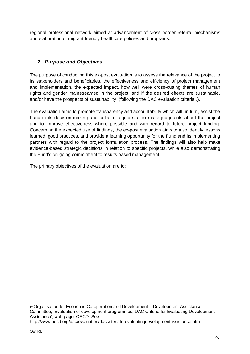regional professional network aimed at advancement of cross-border referral mechanisms and elaboration of migrant friendly healthcare policies and programs.

# *2. Purpose and Objectives*

The purpose of conducting this ex-post evaluation is to assess the relevance of the project to its stakeholders and beneficiaries, the effectiveness and efficiency of project management and implementation, the expected impact, how well were cross-cutting themes of human rights and gender mainstreamed in the project, and if the desired effects are sustainable, and/or have the prospects of sustainability, (following the DAC evaluation criteria<sub>17</sub>).

The evaluation aims to promote transparency and accountability which will, in turn, assist the Fund in its decision-making and to better equip staff to make judgments about the project and to improve effectiveness where possible and with regard to future project funding. Concerning the expected use of findings, the ex-post evaluation aims to also identify lessons learned, good practices, and provide a learning opportunity for the Fund and its implementing partners with regard to the project formulation process. The findings will also help make evidence-based strategic decisions in relation to specific projects, while also demonstrating the Fund's on-going commitment to results based management.

The primary objectives of the evaluation are to:

<sup>17</sup> Organisation for Economic Co-operation and Development – Development Assistance Committee, 'Evaluation of development programmes, DAC Criteria for Evaluating Development Assistance', web page, OECD. See

http://www.oecd.org/dac/evaluation/daccriteriaforevaluatingdevelopmentassistance.htm.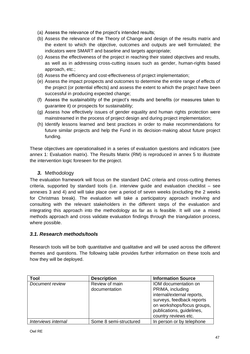- (a) Assess the relevance of the project's intended results;
- (b) Assess the relevance of the Theory of Change and design of the results matrix and the extent to which the objective, outcomes and outputs are well formulated; the indicators were SMART and baseline and targets appropriate;
- (c) Assess the effectiveness of the project in reaching their stated objectives and results, as well as in addressing cross-cutting issues such as gender, human-rights based approach, etc.;
- (d) Assess the efficiency and cost-effectiveness of project implementation;
- (e) Assess the impact prospects and outcomes to determine the entire range of effects of the project (or potential effects) and assess the extent to which the project have been successful in producing expected change;
- (f) Assess the sustainability of the project's results and benefits (or measures taken to guarantee it) or prospects for sustainability;
- (g) Assess how effectively issues of gender equality and human rights protection were mainstreamed in the process of project design and during project implementation;
- (h) Identify lessons learned and best practices in order to make recommendations for future similar projects and help the Fund in its decision-making about future project funding.

These objectives are operationalised in a series of evaluation questions and indicators (see annex 1: Evaluation matrix). The Results Matrix (RM) is reproduced in annex 5 to illustrate the intervention logic foreseen for the project.

# *3.* Methodology

The evaluation framework will focus on the standard DAC criteria and cross-cutting themes criteria, supported by standard tools (i.e. interview guide and evaluation checklist – see annexes 3 and 4) and will take place over a period of seven weeks (excluding the 2 weeks for Christmas break). The evaluation will take a participatory approach involving and consulting with the relevant stakeholders in the different steps of the evaluation and integrating this approach into the methodology as far as is feasible. It will use a mixed methods approach and cross validate evaluation findings through the triangulation process, where possible.

# *3.1. Research methods/tools*

Research tools will be both quantitative and qualitative and will be used across the different themes and questions. The following table provides further information on these tools and how they will be deployed.

| Tool                | <b>Description</b>     | <b>Information Source</b>  |
|---------------------|------------------------|----------------------------|
| Document review     | Review of main         | IOM documentation on       |
|                     | documentation          | PRIMA, including           |
|                     |                        | internal/external reports, |
|                     |                        | surveys, feedback reports  |
|                     |                        | on workshops/focus groups, |
|                     |                        | publications, guidelines,  |
|                     |                        | country reviews etc.       |
| Interviews internal | Some 8 semi-structured | In person or by telephone  |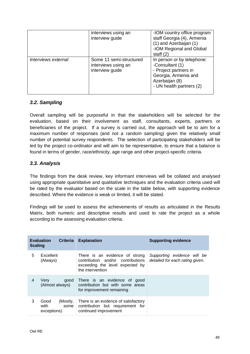|                     | interviews using an<br>interview guide                            | -IOM country office program<br>staff Georgia (4), Armenia<br>(1) and Azerbaijan (1)<br>-IOM Regional and Global<br>staff $(2)$               |
|---------------------|-------------------------------------------------------------------|----------------------------------------------------------------------------------------------------------------------------------------------|
| Interviews external | Some 11 semi-structured<br>interviews using an<br>interview guide | In person or by telephone:<br>-Consultant (1)<br>- Project partners in<br>Georgia, Armenia and<br>Azerbaijan (8)<br>- UN health partners (2) |

# *3.2. Sampling*

Overall sampling will be purposeful in that the stakeholders will be selected for the evaluation, based on their involvement as staff, consultants, experts, partners or beneficiaries of the project. If a survey is carried out, the approach will be to aim for a maximum number of responses (and not a random sampling) given the relatively small number of potential survey respondents. The selection of participating stakeholders will be led by the project co-ordinator and will aim to be representative, to ensure that a balance is found in terms of gender, race/ethnicity, age range and other project-specific criteria.

# *3.3. Analysis*

The findings from the desk review, key informant interviews will be collated and analysed using appropriate quantitative and qualitative techniques and the evaluation criteria used will be rated by the evaluator based on the scale in the table below, with supporting evidence described. Where the evidence is weak or limited, it will be stated.

Findings will be used to assess the achievements of results as articulated in the Results Matrix, both numeric and descriptive results and used to rate the project as a whole according to the assessing evaluation criteria.

| <b>Scaling</b> | <b>Evaluation</b><br><b>Criteria</b>            | <b>Explanation</b>                                                                                                         | <b>Supporting evidence</b>                                     |
|----------------|-------------------------------------------------|----------------------------------------------------------------------------------------------------------------------------|----------------------------------------------------------------|
| 5              | Excellent<br>(Always)                           | There is an evidence of strong<br>contribution and/or contributions<br>exceeding the level expected by<br>the intervention | Supporting evidence will be<br>detailed for each rating given. |
| 4              | <b>Very</b><br>good<br>(Almost always)          | There is an evidence of good<br>contribution but with some areas<br>for improvement remaining                              |                                                                |
| 3              | (Mostly,<br>Good<br>with<br>some<br>exceptions) | There is an evidence of satisfactory<br>contribution but requirement for<br>continued improvement                          |                                                                |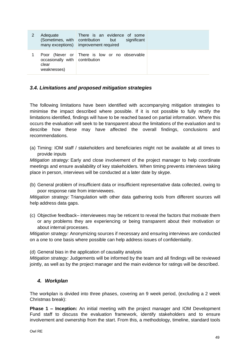| Adequate<br>(Sometimes, with<br>many exceptions)               | There is an evidence of some<br>contribution<br>but<br>significant<br>improvement required |
|----------------------------------------------------------------|--------------------------------------------------------------------------------------------|
| Poor<br>occasionally with contribution<br>clear<br>weaknesses) | (Never or There is low or no observable                                                    |

# *3.4. Limitations and proposed mitigation strategies*

The following limitations have been identified with accompanying mitigation strategies to minimise the impact described where possible. If it is not possible to fully rectify the limitations identified, findings will have to be reached based on partial information. Where this occurs the evaluation will seek to be transparent about the limitations of the evaluation and to describe how these may have affected the overall findings, conclusions and recommendations.

(a) Timing: IOM staff / stakeholders and beneficiaries might not be available at all times to provide inputs

*Mitigation strategy:* Early and close involvement of the project manager to help coordinate meetings and ensure availability of key stakeholders. When timing prevents interviews taking place in person, interviews will be conducted at a later date by skype.

(b) General problem of insufficient data or insufficient representative data collected, owing to poor response rate from interviewees.

*Mitigation strategy:* Triangulation with other data gathering tools from different sources will help address data gaps.

(c) Objective feedback– interviewees may be reticent to reveal the factors that motivate them or any problems they are experiencing or being transparent about their motivation or about internal processes.

*Mitigation strategy:* Anonymizing sources if necessary and ensuring interviews are conducted on a one to one basis where possible can help address issues of confidentiality.

(d) General bias in the application of causality analysis

*Mitigation strategy:* Judgements will be informed by the team and all findings will be reviewed jointly, as well as by the project manager and the main evidence for ratings will be described.

# *4. Workplan*

The workplan is divided into three phases, covering an 9 week period, (excluding a 2 week Christmas break):

**Phase 1 – Inception:** An initial meeting with the project manager and IOM Development Fund staff to discuss the evaluation framework, identify stakeholders and to ensure involvement and ownership from the start. From this, a methodology, timeline, standard tools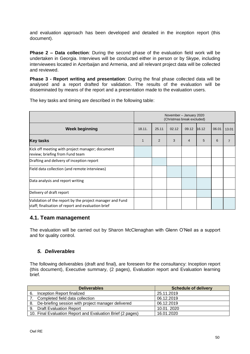and evaluation approach has been developed and detailed in the inception report (this document).

**Phase 2 – Data collection**: During the second phase of the evaluation field work will be undertaken in Georgia. Interviews will be conducted either in person or by Skype, including interviewees located in Azerbaijan and Armenia, and all relevant project data will be collected and reviewed.

**Phase 3 - Report writing and presentation**: During the final phase collected data will be analysed and a report drafted for validation. The results of the evaluation will be disseminated by means of the report and a presentation made to the evaluation users.

The key tasks and timing are described in the following table:

|                                                                                                                | November - January 2020<br>(Christmas break excluded) |   |   |                |       |   |                |
|----------------------------------------------------------------------------------------------------------------|-------------------------------------------------------|---|---|----------------|-------|---|----------------|
| <b>Week beginning</b>                                                                                          | 16.12<br>18.11.<br>25.11<br>02.12<br>09.12<br>06.01   |   |   |                | 13.01 |   |                |
| <b>Key tasks</b>                                                                                               |                                                       | 2 | 3 | $\overline{4}$ | 5     | 6 | $\overline{7}$ |
| Kick off meeting with project manager; document<br>review; briefing from Fund team                             |                                                       |   |   |                |       |   |                |
| Drafting and delivery of inception report                                                                      |                                                       |   |   |                |       |   |                |
| Field data collection (and remote interviews)                                                                  |                                                       |   |   |                |       |   |                |
| Data analysis and report writing                                                                               |                                                       |   |   |                |       |   |                |
| Delivery of draft report                                                                                       |                                                       |   |   |                |       |   |                |
| Validation of the report by the project manager and Fund<br>staff; finalisation of report and evaluation brief |                                                       |   |   |                |       |   |                |

# **4.1. Team management**

The evaluation will be carried out by Sharon McClenaghan with Glenn O'Neil as a support and for quality control.

# *5. Deliverables*

The following deliverables (draft and final), are foreseen for the consultancy: Inception report (this document), Executive summary, (2 pages), Evaluation report and Evaluation learning brief.

|    | <b>Deliverables</b>                                        | <b>Schedule of delivery</b> |
|----|------------------------------------------------------------|-----------------------------|
| 6. | Inception Report finalized                                 | 25.11.2019                  |
|    | 7. Completed field data collection                         | 06.12.2019                  |
|    | 8. De-briefing session with project manager delivered      | 06.12.2019                  |
| 9. | . Draft Evaluation Report                                  | 10.01.2020                  |
|    | 10. Final Evaluation Report and Evaluation Brief (2 pages) | 16.01.2020                  |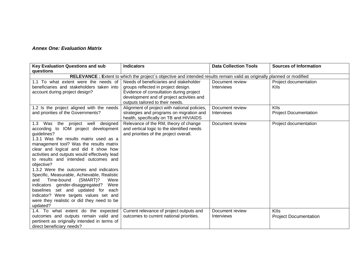# *Annex One: Evaluation Matrix*

| <b>Key Evaluation Questions and sub</b><br>questions                                                                                                                                                                                                                                                                                                                                                                                                                                                                                                                                                                                                  | <b>Indicators</b>                                                                                                                                                                                         | <b>Data Collection Tools</b>         | <b>Sources of Information</b>               |
|-------------------------------------------------------------------------------------------------------------------------------------------------------------------------------------------------------------------------------------------------------------------------------------------------------------------------------------------------------------------------------------------------------------------------------------------------------------------------------------------------------------------------------------------------------------------------------------------------------------------------------------------------------|-----------------------------------------------------------------------------------------------------------------------------------------------------------------------------------------------------------|--------------------------------------|---------------------------------------------|
|                                                                                                                                                                                                                                                                                                                                                                                                                                                                                                                                                                                                                                                       | RELEVANCE : Extent to which the project`s objective and intended results remain valid as originally planned or modified                                                                                   |                                      |                                             |
| 1.1 To what extent were the needs of<br>beneficiaries and stakeholders taken into<br>account during project design?                                                                                                                                                                                                                                                                                                                                                                                                                                                                                                                                   | Needs of beneficiaries and stakeholder<br>groups reflected in project design.<br>Evidence of consultation during project<br>development and of project activities and<br>outputs tailored to their needs. | Document review<br>Interviews        | Project documentation<br><b>KIIs</b>        |
| 1.2 Is the project aligned with the needs<br>and priorities of the Governments?                                                                                                                                                                                                                                                                                                                                                                                                                                                                                                                                                                       | Alignment of project with national policies,<br>strategies and programs on migration and<br>health, specifically on TB and HIV/AIDS                                                                       | Document review<br>Interviews        | <b>KIIs</b><br><b>Project Documentation</b> |
| 1.3 Was the project well designed<br>according to IOM project development<br>quidelines?<br>1.3.1 Was the results matrix used as a<br>management tool? Was the results matrix<br>clear and logical and did it show how<br>activities and outputs would effectively lead<br>to results and intended outcomes and<br>objective?<br>1.3.2 Were the outcomes and indicators<br>Specific, Measurable, Achievable, Realistic<br>Time-bound<br>(SMART)?<br>Were<br>and<br>indicators gender-disaggregated?<br>Were<br>baselines set and updated for each<br>indicator? Were targets values set and<br>were they realistic or did they need to be<br>updated? | Relevance of the RM, theory of change<br>and vertical logic to the identified needs<br>and priorities of the project overall.                                                                             | Document review                      | Project documentation                       |
| 1.4. To what extent do the expected<br>outcomes and outputs remain valid and<br>pertinent as originally intended in terms of<br>direct beneficiary needs?                                                                                                                                                                                                                                                                                                                                                                                                                                                                                             | Current relevance of project outputs and<br>outcomes to current national priorities.                                                                                                                      | Document review<br><b>Interviews</b> | KIIs<br><b>Project Documentation</b>        |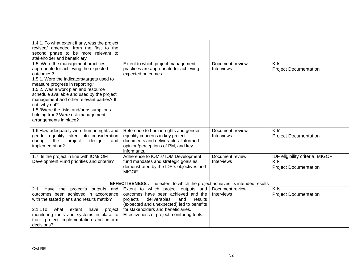| 1.4.1. To what extent if any, was the project                      |                                                                                         |                   |                                 |
|--------------------------------------------------------------------|-----------------------------------------------------------------------------------------|-------------------|---------------------------------|
| revised/ amended from the first to the                             |                                                                                         |                   |                                 |
| second phase to be more relevant to<br>stakeholder and beneficiary |                                                                                         |                   |                                 |
| 1.5. Were the management practices                                 | Extent to which project management                                                      | Document review   | <b>KIIs</b>                     |
| appropriate for achieving the expected                             | practices are appropriate for achieving                                                 | <b>Interviews</b> | <b>Project Documentation</b>    |
| outcomes?                                                          | expected outcomes.                                                                      |                   |                                 |
| 1.5.1. Were the indicators/targets used to                         |                                                                                         |                   |                                 |
| measure progress in reporting?                                     |                                                                                         |                   |                                 |
| 1.5.2. Was a work plan and resource                                |                                                                                         |                   |                                 |
| schedule available and used by the project                         |                                                                                         |                   |                                 |
| management and other relevant parties? If                          |                                                                                         |                   |                                 |
| not, why not?<br>1.5.3Were the risks and/or assumptions            |                                                                                         |                   |                                 |
| holding true? Were risk management                                 |                                                                                         |                   |                                 |
| arrangements in place?                                             |                                                                                         |                   |                                 |
|                                                                    |                                                                                         |                   |                                 |
| 1.6 How adequately were human rights and                           | Reference to human rights and gender                                                    | Document review   | <b>KIIs</b>                     |
| gender equality taken into consideration                           | equality concerns in key project                                                        | Interviews        | <b>Project Documentation</b>    |
| during<br>the<br>design<br>and<br>project                          | documents and deliverables. Informed                                                    |                   |                                 |
| implementation?                                                    | opinion/perceptions of PM, and key<br>informants.                                       |                   |                                 |
| 1.7. Is the project in line with IOM/IOM                           | Adherence to IOM's/ IOM Development                                                     | Document review   | IDF eligibility criteria, MIGOF |
| Development Fund priorities and criteria?                          | fund mandates and strategic goals as                                                    | Interviews        | <b>KIIs</b>                     |
|                                                                    | demonstrated by the IDF`s objectives and                                                |                   | <b>Project Documentation</b>    |
|                                                                    | <b>MIGOF</b>                                                                            |                   |                                 |
|                                                                    |                                                                                         |                   |                                 |
|                                                                    | <b>EFFECTIVENESS</b> : The extent to which the project achieves its intended results    |                   |                                 |
| 2.1. Have the<br>project's outputs<br>and                          | Extent to which project outputs and                                                     | Document review   | <b>KIIs</b>                     |
| outcomes been achieved in accordance                               | outcomes have been achieved and the                                                     | Interviews        | <b>Project Documentation</b>    |
| with the stated plans and results matrix?                          | deliverables<br>and<br>projects<br>results<br>(expected and unexpected) led to benefits |                   |                                 |
| $2.1.1$ To<br>what<br>extent<br>have<br>project                    | for stakeholders and beneficiaries.                                                     |                   |                                 |
| monitoring tools and systems in place to                           | Effectiveness of project monitoring tools.                                              |                   |                                 |
| track project implementation and inform                            |                                                                                         |                   |                                 |
| decisions?                                                         |                                                                                         |                   |                                 |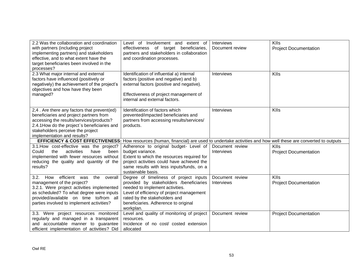| 2.2 Was the collaboration and coordination<br>with partners (including project<br>implementing partners) and stakeholders<br>effective, and to what extent have the<br>target beneficiaries been involved in the<br>processes?                                   | Level of Involvement and extent of<br>effectiveness of target beneficiaries,<br>partners and stakeholders in collaboration<br>and coordination processes.                                                                                               | Interviews<br>Document review        | <b>KIIs</b><br><b>Project Documentation</b> |
|------------------------------------------------------------------------------------------------------------------------------------------------------------------------------------------------------------------------------------------------------------------|---------------------------------------------------------------------------------------------------------------------------------------------------------------------------------------------------------------------------------------------------------|--------------------------------------|---------------------------------------------|
| 2.3 What major internal and external<br>factors have influenced (positively or<br>negatively) the achievement of the project's<br>objectives and how have they been<br>managed?                                                                                  | Identification of influential a) internal<br>factors (positive and negative) and b)<br>external factors (positive and negative).<br>Effectiveness of project management of<br>internal and external factors.                                            | <b>Interviews</b>                    | KIIs                                        |
| 2,4. Are there any factors that prevent(ed)<br>beneficiaries and project partners from<br>accessing the results/services/products?<br>2.4.1How do the project`s beneficiaries and<br>stakeholders perceive the project<br>implementation and results?            | Identification of factors which<br>prevented/impacted beneficiaries and<br>partners from accessing results/services/<br>products.                                                                                                                       | Interviews                           | <b>KIIs</b>                                 |
|                                                                                                                                                                                                                                                                  | EFFICIENCY & COST EFFECTIVENESS: How resources (human, financial) are used to undertake activities and how well these are converted to outputs                                                                                                          |                                      |                                             |
| 3.1. How cost-effective was the project?<br>activities<br>have<br>Could<br>the<br>been<br>implemented with fewer resources without<br>reducing the quality and quantity of the<br>results?                                                                       | Adherence to original budget- Level of<br>budget variance.<br>Extent to which the resources required for<br>project activities could have achieved the<br>same results with less inputs/funds, on a<br>sustainable basis.                               | Document review<br><b>Interviews</b> | <b>KIIs</b><br><b>Project Documentation</b> |
| efficient<br>How<br>3.2.<br>the<br>overall<br>was<br>management of the project?<br>3.2.1. Were project activities implemented<br>as scheduled? To what degree were inputs<br>provided/available on time to/from all<br>parties involved to implement activities? | Degree of timeliness of project inputs<br>provided by stakeholders /beneficiaries<br>needed to implement activities.<br>Level of efficiency of project management<br>rated by the stakeholders and<br>beneficiaries. Adherence to original<br>workplan. | Document review<br><b>Interviews</b> | KIIs<br><b>Project Documentation</b>        |
| 3.3. Were project resources monitored<br>regularly and managed in a transparent<br>and accountable manner to guarantee<br>efficient implementation of activities? Did                                                                                            | Level and quality of monitoring of project<br>resources.<br>Incidence of no cost/ costed extension<br>allocated                                                                                                                                         | Document review                      | <b>Project Documentation</b>                |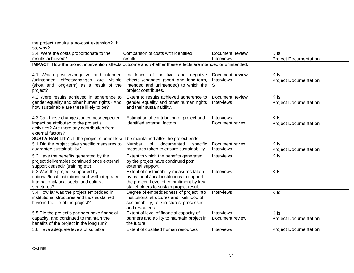| the project require a no-cost extension? If<br>so, why?                                                                                                                      |                                                                                                                                                     |                                    |                                             |
|------------------------------------------------------------------------------------------------------------------------------------------------------------------------------|-----------------------------------------------------------------------------------------------------------------------------------------------------|------------------------------------|---------------------------------------------|
| 3.4. Were the costs proportionate to the<br>results achieved?                                                                                                                | Comparison of costs with identified<br>results.                                                                                                     | Document review<br>Interviews      | <b>KIIs</b><br><b>Project Documentation</b> |
| <b>IMPACT</b> : How the project intervention affects outcome and whether these effects are intended or unintended.                                                           |                                                                                                                                                     |                                    |                                             |
| 4.1 Which positive/negative and intended<br>/unintended effects/changes are visible<br>(short and long-term) as a result of the<br>project?                                  | Incidence of positive and negative<br>effects /changes (short and long-term,<br>intended and unintended) to which the<br>project contributes.       | Document review<br>Interviews<br>S | <b>KIIs</b><br><b>Project Documentation</b> |
| 4.2 Were results achieved in adherence to<br>gender equality and other human rights? And<br>how sustainable are these likely to be?                                          | Extent to results achieved adherence to<br>gender equality and other human rights<br>and their sustainability.                                      | Document review<br>Interviews      | KIIs<br><b>Project Documentation</b>        |
| 4.3 Can those changes /outcomes/ expected<br>impact be attributed to the project's<br>activities? Are there any contribution from<br>external factors?                       | Estimation of contribution of project and<br>identified external factors.                                                                           | Interviews<br>Document review      | <b>KIIs</b><br><b>Project Documentation</b> |
| SUSTAINABILITY : If the project's benefits will be maintained after the project ends                                                                                         |                                                                                                                                                     |                                    |                                             |
| 5.1 Did the project take specific measures to<br>guarantee sustainability?                                                                                                   | Number<br>of<br>documented<br>specific<br>measures taken to ensure sustainability.                                                                  | Document review<br>Interviews      | <b>KIIs</b><br><b>Project Documentation</b> |
| 5.2. Have the benefits generated by the<br>project deliverables continued once external<br>support ceased? (training etc).                                                   | Extent to which the benefits generated<br>by the project have continued post<br>external support.                                                   | Interviews                         | KIIs                                        |
| 5.3 Was the project supported by<br>national/local institutions and well-integrated<br>into national/local social and cultural<br>structures?                                | Extent of sustainability measures taken<br>by national /local institutions to support<br>the project. Level of commitment by key                    | Interviews                         | KIIs                                        |
|                                                                                                                                                                              | stakeholders to sustain project result.                                                                                                             |                                    |                                             |
| 5.4 How far was the project embedded in<br>institutional structures and thus sustained<br>beyond the life of the project?                                                    | Degree of embeddedness of project into<br>institutional structures and likelihood of<br>sustainability, re. structures, processes<br>and resources. | Interviews                         | KIIs                                        |
| 5.5 Did the project's partners have financial<br>capacity, and continued to maintain the<br>benefits of the project in the long run?<br>5.6 Have adequate levels of suitable | Extent of level of financial capacity of<br>partners and ability to maintain project in<br>the future                                               | Interviews<br>Document review      | KIIs<br><b>Project Documentation</b>        |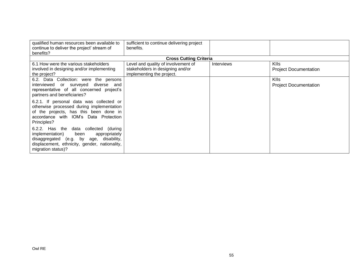| qualified human resources been available to<br>continue to deliver the project' stream of<br>benefits?                                                                                                       | sufficient to continue delivering project<br>benefits.                                               |                   |                                             |
|--------------------------------------------------------------------------------------------------------------------------------------------------------------------------------------------------------------|------------------------------------------------------------------------------------------------------|-------------------|---------------------------------------------|
|                                                                                                                                                                                                              | <b>Cross Cutting Criteria</b>                                                                        |                   |                                             |
| 6.1 How were the various stakeholders<br>involved in designing and/or implementing<br>the project?                                                                                                           | Level and quality of involvement of<br>stakeholders in designing and/or<br>implementing the project. | <b>Interviews</b> | <b>KIIs</b><br><b>Project Documentation</b> |
| 6.2. Data Collection: were the persons<br>diverse<br>interviewed<br>or surveyed<br>and<br>representative of all concerned project's<br>partners and beneficiaries?                                           |                                                                                                      |                   | <b>KIIs</b><br><b>Project Documentation</b> |
| 6.2.1. If personal data was collected or<br>otherwise processed during implementation<br>of the projects, has this been done in<br>accordance with IOM's Data Protection<br>Principles?                      |                                                                                                      |                   |                                             |
| 6.2.2. Has the<br>data collected<br>(during<br>implementation)<br>been<br>appropriately<br>disaggregated (e.g. by age,<br>disability,<br>displacement, ethnicity, gender, nationality,<br>migration status)? |                                                                                                      |                   |                                             |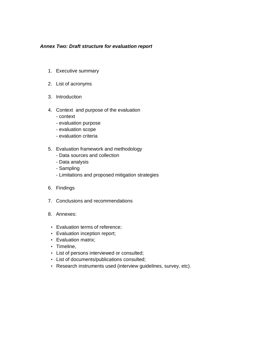#### *Annex Two: Draft structure for evaluation report*

- 1. Executive summary
- 2. List of acronyms
- 3. Introduction
- 4. Context and purpose of the evaluation
	- context
	- evaluation purpose
	- evaluation scope
	- evaluation criteria
- 5. Evaluation framework and methodology
	- Data sources and collection
	- Data analysis
	- Sampling
	- Limitations and proposed mitigation strategies
- 6. Findings
- 7. Conclusions and recommendations
- 8. Annexes:
- Evaluation terms of reference;
- Evaluation inception report;
- Evaluation matrix;
- Timeline,
- List of persons interviewed or consulted;
- List of documents/publications consulted;
- Research instruments used (interview guidelines, survey, etc).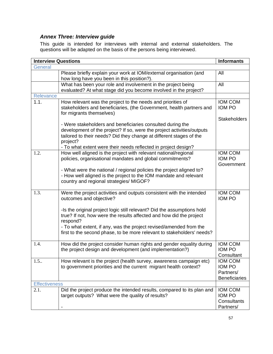# *Annex Three: Interview guide*

This guide is intended for interviews with internal and external stakeholders. The questions will be adapted on the basis of the persons being interviewed.

| <b>Interview Questions</b> |                                                                                                                                                                                                                                                                                                            | <b>Informants</b>                                                    |
|----------------------------|------------------------------------------------------------------------------------------------------------------------------------------------------------------------------------------------------------------------------------------------------------------------------------------------------------|----------------------------------------------------------------------|
| General                    |                                                                                                                                                                                                                                                                                                            |                                                                      |
|                            | Please briefly explain your work at IOM/external organisation (and<br>how long have you been in this position?).                                                                                                                                                                                           | All                                                                  |
|                            | What has been your role and involvement in the project being<br>evaluated? At what stage did you become involved in the project?                                                                                                                                                                           | All                                                                  |
| <b>Relevance</b>           |                                                                                                                                                                                                                                                                                                            |                                                                      |
| 1.1.                       | How relevant was the project to the needs and priorities of<br>stakeholders and beneficiaries, (the Government, health partners and<br>for migrants themselves)                                                                                                                                            | <b>IOM COM</b><br><b>IOM PO</b>                                      |
|                            | - Were stakeholders and beneficiaries consulted during the<br>development of the project? If so, were the project activities/outputs<br>tailored to their needs? Did they change at different stages of the<br>project?<br>- To what extent were their needs reflected in project design?                  | <b>Stakeholders</b>                                                  |
| 1.2.                       | How well aligned is the project with relevant national/regional<br>policies, organisational mandates and global commitments?                                                                                                                                                                               | <b>IOM COM</b><br><b>IOM PO</b><br>Government                        |
|                            | - What were the national / regional policies the project aligned to?<br>- How well aligned is the project to the IOM mandate and relevant<br>country and regional strategies/ MIGOF?                                                                                                                       |                                                                      |
| 1.3.                       | Were the project activities and outputs consistent with the intended<br>outcomes and objective?                                                                                                                                                                                                            | <b>IOM COM</b><br><b>IOM PO</b>                                      |
|                            | -Is the original project logic still relevant? Did the assumptions hold<br>true? If not, how were the results affected and how did the project<br>respond?<br>- To what extent, if any, was the project revised/amended from the<br>first to the second phase, to be more relevant to stakeholders' needs? |                                                                      |
| 1.4.                       | How did the project consider human rights and gender equality during<br>the project design and development (and implementation?)                                                                                                                                                                           | <b>IOM COM</b><br><b>IOM PO</b><br>Consultant                        |
| 1.5.                       | How relevant is the project (health survey, awareness campaign etc)<br>to government priorities and the current migrant health context?                                                                                                                                                                    | <b>IOM COM</b><br><b>IOM PO</b><br>Partners/<br><b>Beneficiaries</b> |
| <b>Effectiveness</b>       |                                                                                                                                                                                                                                                                                                            |                                                                      |
| 2.1.                       | Did the project produce the intended results, compared to its plan and<br>target outputs? What were the quality of results?                                                                                                                                                                                | <b>IOM COM</b><br>IOM PO<br>Consultants<br>Partners/                 |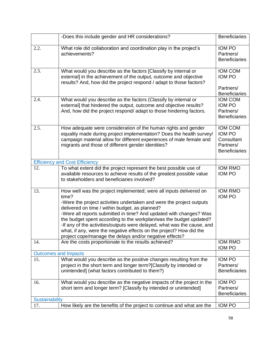|                       | -Does this include gender and HR considerations?                                                                                                                                                                                                                                                                                                                                                                                                                                                                                                               | <b>Beneficiaries</b>                                                        |
|-----------------------|----------------------------------------------------------------------------------------------------------------------------------------------------------------------------------------------------------------------------------------------------------------------------------------------------------------------------------------------------------------------------------------------------------------------------------------------------------------------------------------------------------------------------------------------------------------|-----------------------------------------------------------------------------|
| 2.2.                  | What role did collaboration and coordination play in the project's<br>achievements?                                                                                                                                                                                                                                                                                                                                                                                                                                                                            | <b>IOM PO</b><br>Partners/<br><b>Beneficiaries</b>                          |
| 2.3.                  | What would you describe as the factors [Classify by internal or<br>external] in the achievement of the output, outcome and objective<br>results? And, how did the project respond / adapt to those factors?                                                                                                                                                                                                                                                                                                                                                    | <b>IOM COM</b><br><b>IOM PO</b>                                             |
|                       |                                                                                                                                                                                                                                                                                                                                                                                                                                                                                                                                                                | Partners/<br><b>Beneficiaries</b>                                           |
| 2.4.                  | What would you describe as the factors (Classify by internal or<br>external] that hindered the output, outcome and objective results?<br>And, how did the project respond/ adapt to those hindering factors.                                                                                                                                                                                                                                                                                                                                                   | <b>IOM COM</b><br>IOM PO<br>Partners/<br><b>Beneficiaries</b>               |
| 2.5.                  | How adequate were consideration of the human rights and gender<br>equality made during project implementation? Does the health survey/<br>campaign material allow for different experiences of male female and<br>migrants and those of different gender identities?                                                                                                                                                                                                                                                                                           | <b>IOM COM</b><br>IOM PO<br>Consultant<br>Partners/<br><b>Beneficiaries</b> |
|                       | <b>Efficiency and Cost Efficiency</b>                                                                                                                                                                                                                                                                                                                                                                                                                                                                                                                          |                                                                             |
| 12.                   | To what extent did the project represent the best possible use of<br>available resources to achieve results of the greatest possible value<br>to stakeholders and beneficiaries involved?                                                                                                                                                                                                                                                                                                                                                                      | <b>IOM RMO</b><br><b>IOM PO</b>                                             |
| 13.                   | How well was the project implemented; were all inputs delivered on<br>time?<br>-Were the project activities undertaken and were the project outputs<br>delivered on time / within budget, as planned?<br>-Were all reports submitted in time? And updated with changes? Was<br>the budget spent according to the workplan/was the budget updated?<br>-If any of the activities/outputs were delayed, what was the cause, and<br>what, if any, were the negative effects on the project? How did the<br>project cope/manage the delays and/or negative effects? | <b>IOM RMO</b><br><b>IOM PO</b>                                             |
| 14.                   | Are the costs proportionate to the results achieved?                                                                                                                                                                                                                                                                                                                                                                                                                                                                                                           | <b>IOM RMO</b><br><b>IOM PO</b>                                             |
|                       | <b>Outcomes and Impacts</b>                                                                                                                                                                                                                                                                                                                                                                                                                                                                                                                                    |                                                                             |
| 15.                   | What would you describe as the positive changes resulting from the                                                                                                                                                                                                                                                                                                                                                                                                                                                                                             | <b>IOM PO</b>                                                               |
|                       | project in the short term and longer term?[Classify by intended or<br>unintended] (what factors contributed to them?)                                                                                                                                                                                                                                                                                                                                                                                                                                          | Partners/<br><b>Beneficiaries</b>                                           |
| 16.                   | What would you describe as the negative impacts of the project in the<br>short term and longer term? [Classify by intended or unintended]                                                                                                                                                                                                                                                                                                                                                                                                                      | IOM PO<br>Partners/<br><b>Beneficiaries</b>                                 |
| <b>Sustainability</b> |                                                                                                                                                                                                                                                                                                                                                                                                                                                                                                                                                                |                                                                             |
| 17.                   | How likely are the benefits of the project to continue and what are the                                                                                                                                                                                                                                                                                                                                                                                                                                                                                        | IOM PO                                                                      |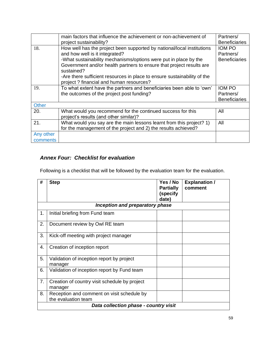|                       | main factors that influence the achievement or non-achievement of<br>project sustainability?                                                                                                                                                                                                                                                                                               | Partners/<br><b>Beneficiaries</b>                  |
|-----------------------|--------------------------------------------------------------------------------------------------------------------------------------------------------------------------------------------------------------------------------------------------------------------------------------------------------------------------------------------------------------------------------------------|----------------------------------------------------|
| 18.                   | How well has the project been supported by national/local institutions<br>and how well is it integrated?<br>-What sustainability mechanisms/options were put in place by the<br>Government and/or health partners to ensure that project results are<br>sustained?<br>-Are there sufficient resources in place to ensure sustainability of the<br>project ? financial and human resources? | <b>IOM PO</b><br>Partners/<br><b>Beneficiaries</b> |
| 19.                   | To what extent have the partners and beneficiaries been able to 'own'<br>the outcomes of the project post funding?                                                                                                                                                                                                                                                                         | IOM PO<br>Partners/<br><b>Beneficiaries</b>        |
| <b>Other</b>          |                                                                                                                                                                                                                                                                                                                                                                                            |                                                    |
| 20.                   | What would you recommend for the continued success for this<br>project's results (and other similar)?                                                                                                                                                                                                                                                                                      | All                                                |
| 21.                   | What would you say are the main lessons learnt from this project? 1)<br>for the management of the project and 2) the results achieved?                                                                                                                                                                                                                                                     | All                                                |
| Any other<br>comments |                                                                                                                                                                                                                                                                                                                                                                                            |                                                    |

# *Annex Four: Checklist for evaluation*

Following is a checklist that will be followed by the evaluation team for the evaluation.

| #                                     | <b>Step</b>                                                       | Yes / No         | <b>Explanation /</b> |  |  |
|---------------------------------------|-------------------------------------------------------------------|------------------|----------------------|--|--|
|                                       |                                                                   | <b>Partially</b> | comment              |  |  |
|                                       |                                                                   | (specify         |                      |  |  |
|                                       |                                                                   | date)            |                      |  |  |
| Inception and preparatory phase       |                                                                   |                  |                      |  |  |
| 1.                                    | Initial briefing from Fund team                                   |                  |                      |  |  |
| 2.                                    | Document review by Owl RE team                                    |                  |                      |  |  |
| 3.                                    | Kick-off meeting with project manager                             |                  |                      |  |  |
| 4.                                    | Creation of inception report                                      |                  |                      |  |  |
| 5.                                    | Validation of inception report by project<br>manager              |                  |                      |  |  |
| 6.                                    | Validation of inception report by Fund team                       |                  |                      |  |  |
| 7.                                    | Creation of country visit schedule by project<br>manager          |                  |                      |  |  |
| 8.                                    | Reception and comment on visit schedule by<br>the evaluation team |                  |                      |  |  |
| Data collection phase - country visit |                                                                   |                  |                      |  |  |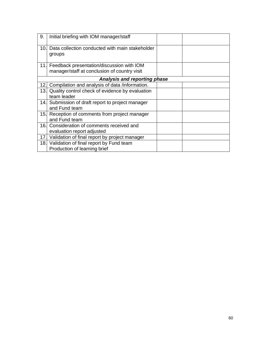| 9.                           | Initial briefing with IOM manager/staff                                                       |  |  |  |
|------------------------------|-----------------------------------------------------------------------------------------------|--|--|--|
| 10.                          | Data collection conducted with main stakeholder<br>groups                                     |  |  |  |
|                              | 11. Feedback presentation/discussion with IOM<br>manager/staff at conclusion of country visit |  |  |  |
| Analysis and reporting phase |                                                                                               |  |  |  |
| 12.                          | Compilation and analysis of data /information.                                                |  |  |  |
|                              | 13. Quality control check of evidence by evaluation                                           |  |  |  |
|                              | team leader                                                                                   |  |  |  |
|                              | 14. Submission of draft report to project manager<br>and Fund team                            |  |  |  |
| 15.                          | Reception of comments from project manager<br>and Fund team                                   |  |  |  |
|                              | 16. Consideration of comments received and                                                    |  |  |  |
|                              | evaluation report adjusted                                                                    |  |  |  |
| 17.                          | Validation of final report by project manager                                                 |  |  |  |
|                              | 18. Validation of final report by Fund team                                                   |  |  |  |
|                              | Production of learning brief                                                                  |  |  |  |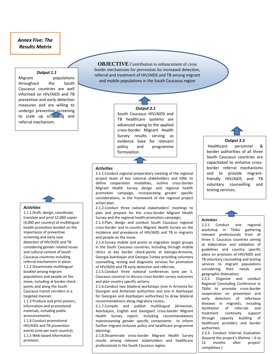## *Annex Five: The Results Matrix*

#### *Output 1.1*

Migrant populations throughout the South Caucasus countries are well informed on HIV/AIDS and TB preventive and early detection measures and are willing to undergo preventive screening to scale up screening and referral mechanism.

**OBJECTIVE** Contribution to enhancement of cross border mechanisms for prevention for increased detection, referral and treatment of HIV/AIDS and TB among migrant and mobile populations in the South Caucasus region



#### *Output 2.1*

South Caucasus HIV/AIDS and TB healthcare systems are advanced owing to the applied cross-border Migrant Health Survey results serving as evidence base for relevant policy and programme formulation.

#### *Activities*

2.1.1.Conduct regional preparatory meeting of the regional project team of key national stakeholders and IOM, to define cooperation modalities, outline cross-border Migrant Health Survey design and regional health promotion campaign, incorporating gender specific considerations, in the framework of the regional project action plan;

2.1.2.Conduct three national stakeholders' meetings to plan and prepare for the cross-border Migrant Health Survey and the regional health promotion campaign;

2.1.3.Plan, design and conduct South Caucasus regional cross-border and in-country Migrant Health Survey on the incidence and prevalence of HIV/AIDS and TB in migrants and people on the move.

2.1.4.Survey mobile and prone to migration target groups in the South Caucasus countries, including through mobile clinics at key border check-points at Georgia-Armenia, Georgia-Azerbaijan and Georgia-Turkey providing voluntary counselling, testing and diagnostic services for promotion of HIV/AIDS and TB early detection and referrals;

2.1.5.Conduct three national conferences (one per S. Caucasus country) to discuss cross-border survey outcomes and plan country specific actions;

2.1.6.Conduct two bilateral workshops (one in Armenia for Georgian and Armenian authorities and one in Azerbaijan for Georgian and Azerbaijani authorities) to draw bilateral recommendations along migratory routes;

2.1.7.Compile and publish multilingual (Armenian, Azerbaijani, English and Georgian) cross-border Migrant Health Survey report, including recommendations mainstreaming gender specific components to inform further migrant-inclusive policy and healthcare programme planning;

2.1.8.Disseminate cross-border Migrant Health Survey results among relevant stakeholders and healthcare professionals in the South Caucasus region.

**Output 2.2**

Healthcare personnel & border authorities of all three South Caucasus countries are capacitated to enhance crossborder referral mechanisms and to provide migrantfriendly HIV/AIDS and TB voluntary counselling and testing services.

#### *Activities*

2.2.1 Conduct one regional workshop in Tbilisi gathering relevant professionals from all three S. Caucasus countries aiming at elaboration and validation of guidelines and country specific plans on provision of HIV/AIDS and TB voluntary counselling and testing services to migrant populations considering their needs and geographic dislocation;

through capacity building of 2.2.2. Organize and conduct Regional Concluding Conference in Tbilisi to promote cross-border cooperation on prevention and early detection of infectious diseases in migrants, including facilitation of referrals and treatment continuity support healthcare providers and border authorities;

2.2.3. Conduct Internal Evaluation (beyond the project's lifetime – 6 to 12 months after project' completion.)

#### *Activities*

1.1.1 Draft, design, coordinate, translate and print 12,000 copies (4,000 per country) of multilingual health promotion booklet on the importance of preventive screening and early case detection of HIV/AIDS and TB considering gender related issues and cultural context of South Caucasus countries including referral mechanisms in place; 1.1.2 Disseminate multilingual booklet among migrant populations and people on the move, including at border check points and along the South Caucasus transit corridors in a targeted manner;

1.1.3 Produce and print posters, information and promotional materials, including public announcements;

1.1.4 Conduct promotional HIV/AIDS and TB prevention events (one per each country); 1.1.5 Web-based information provision.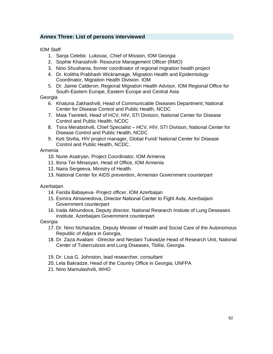# **Annex Three: List of persons interviewed**

<span id="page-61-0"></span>IOM Staff

- 1. Sanja Celebic Lukovac, Chief of Mission, IOM Georgia
- 2. Sophie Kharashvili- Resource Management Officer (RMO)
- 3. Nino Shushania, former coordinator of regional migration health project
- 4. Dr. Kolitha Prabhash Wickramage, Migration Health and Epidemiology Coordinator, Migration Health Division. IOM
- 5. Dr. Jaime Calderon, Regional Migration Health Advisor, IOM Regional Office for South-Eastern Europe, Eastern Europe and Central Asia

#### **Georgia**

- 6. Khatuna Zakhashvili, Head of Communicable Diseases Department; National Center for Disease Control and Public Health, NCDC
- 7. Maia Tsereteli, Head of HCV, HIV, STI Division, National Center for Disease Control and Public Health, NCDC
- 8. Tsira Merabishvili, Chief Specialist HCV, HIV, STI Division, National Center for Disease Control and Public Health, NCDC
- 9. Keti Stvilia, HIV project manager, Global Fund/ National Center for Disease Control and Public Health, NCDC.

#### Armenia

- 10. Nune Asatryan, Project Coordinator, IOM Armenia
- 11. Ilona Ter-Minasyan, Head of Office, IOM Armenia
- 12. Naira Sergeeva, Ministry of Health.
- 13. National Center for AIDS prevention, Armenian Government counterpart

#### Azerbaijan

- 14. Farida Babayeva- Project officer, IOM Azerbaijan
- 15. Esmira Almamedova, Director National Center to Fight Aıds, Azerbaijani Government counterpart
- 16. Irada Akhundova, Deputy director, National Research Instiute of Lung Deseases institute, Azerbaijani Government counterpart

#### Georgia

- 17. Dr. Nino Nizharadze, Deputy Minister of Health and Social Care of the Autonomous Republic of Adjara in Georgia,
- 18. Dr. Zaza Avaliani -Director and Nestani Tukvadze Head of Research Unit, National Center of Tuberculosis and Lung Diseases, Tbilisi, Georgia.
- 19. Dr. Lisa G. Johnston, lead researcher, consultant
- 20. Lela Bakradze, Head of the Country Office in Georgia, UNFPA
- 21. Nino Mamulashvili, WHO